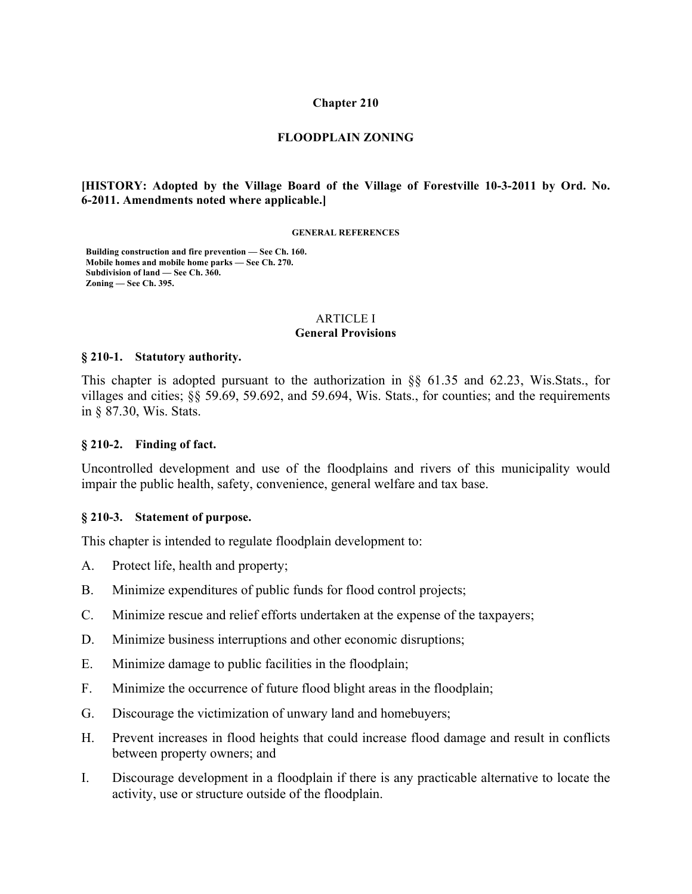#### **Chapter 210**

#### **FLOODPLAIN ZONING**

### **[HISTORY: Adopted by the Village Board of the Village of Forestville 10-3-2011 by Ord. No. 6-2011. Amendments noted where applicable.]**

#### **GENERAL REFERENCES**

**Building construction and fire prevention — See Ch. 160. Mobile homes and mobile home parks — See Ch. 270. Subdivision of land — See Ch. 360. Zoning — See Ch. 395.**

#### ARTICLE I **General Provisions**

#### **§ 210-1. Statutory authority.**

This chapter is adopted pursuant to the authorization in §§ 61.35 and 62.23, Wis.Stats., for villages and cities; §§ 59.69, 59.692, and 59.694, Wis. Stats., for counties; and the requirements in § 87.30, Wis. Stats.

#### **§ 210-2. Finding of fact.**

Uncontrolled development and use of the floodplains and rivers of this municipality would impair the public health, safety, convenience, general welfare and tax base.

#### **§ 210-3. Statement of purpose.**

This chapter is intended to regulate floodplain development to:

- A. Protect life, health and property;
- B. Minimize expenditures of public funds for flood control projects;
- C. Minimize rescue and relief efforts undertaken at the expense of the taxpayers;
- D. Minimize business interruptions and other economic disruptions;
- E. Minimize damage to public facilities in the floodplain;
- F. Minimize the occurrence of future flood blight areas in the floodplain;
- G. Discourage the victimization of unwary land and homebuyers;
- H. Prevent increases in flood heights that could increase flood damage and result in conflicts between property owners; and
- I. Discourage development in a floodplain if there is any practicable alternative to locate the activity, use or structure outside of the floodplain.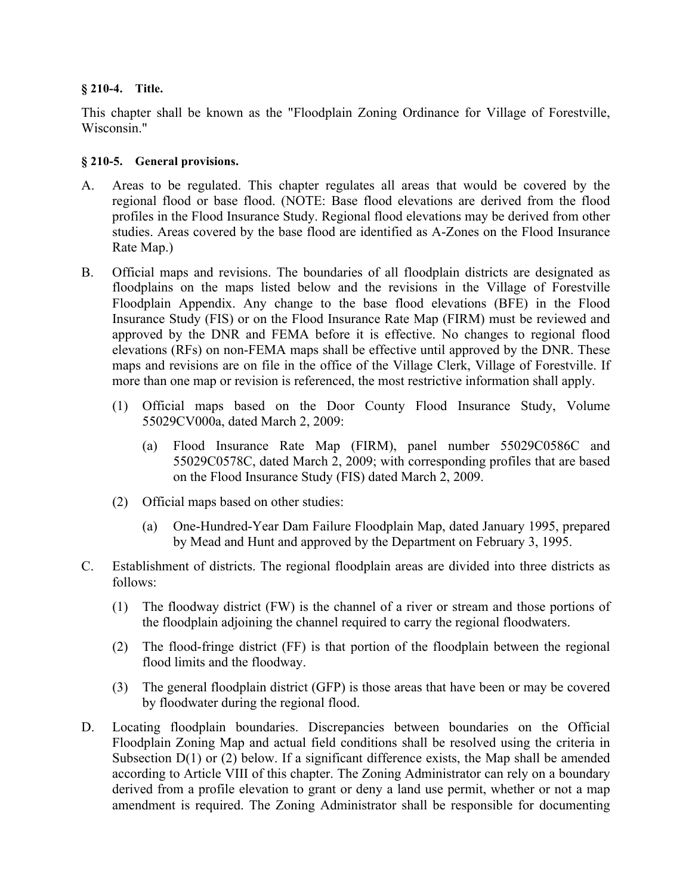## **§ 210-4. Title.**

This chapter shall be known as the "Floodplain Zoning Ordinance for Village of Forestville, Wisconsin."

## **§ 210-5. General provisions.**

- A. Areas to be regulated. This chapter regulates all areas that would be covered by the regional flood or base flood. (NOTE: Base flood elevations are derived from the flood profiles in the Flood Insurance Study. Regional flood elevations may be derived from other studies. Areas covered by the base flood are identified as A-Zones on the Flood Insurance Rate Map.)
- B. Official maps and revisions. The boundaries of all floodplain districts are designated as floodplains on the maps listed below and the revisions in the Village of Forestville Floodplain Appendix. Any change to the base flood elevations (BFE) in the Flood Insurance Study (FIS) or on the Flood Insurance Rate Map (FIRM) must be reviewed and approved by the DNR and FEMA before it is effective. No changes to regional flood elevations (RFs) on non-FEMA maps shall be effective until approved by the DNR. These maps and revisions are on file in the office of the Village Clerk, Village of Forestville. If more than one map or revision is referenced, the most restrictive information shall apply.
	- (1) Official maps based on the Door County Flood Insurance Study, Volume 55029CV000a, dated March 2, 2009:
		- (a) Flood Insurance Rate Map (FIRM), panel number 55029C0586C and 55029C0578C, dated March 2, 2009; with corresponding profiles that are based on the Flood Insurance Study (FIS) dated March 2, 2009.
	- (2) Official maps based on other studies:
		- (a) One-Hundred-Year Dam Failure Floodplain Map, dated January 1995, prepared by Mead and Hunt and approved by the Department on February 3, 1995.
- C. Establishment of districts. The regional floodplain areas are divided into three districts as follows:
	- (1) The floodway district (FW) is the channel of a river or stream and those portions of the floodplain adjoining the channel required to carry the regional floodwaters.
	- (2) The flood-fringe district (FF) is that portion of the floodplain between the regional flood limits and the floodway.
	- (3) The general floodplain district (GFP) is those areas that have been or may be covered by floodwater during the regional flood.
- D. Locating floodplain boundaries. Discrepancies between boundaries on the Official Floodplain Zoning Map and actual field conditions shall be resolved using the criteria in Subsection  $D(1)$  or (2) below. If a significant difference exists, the Map shall be amended according to Article VIII of this chapter. The Zoning Administrator can rely on a boundary derived from a profile elevation to grant or deny a land use permit, whether or not a map amendment is required. The Zoning Administrator shall be responsible for documenting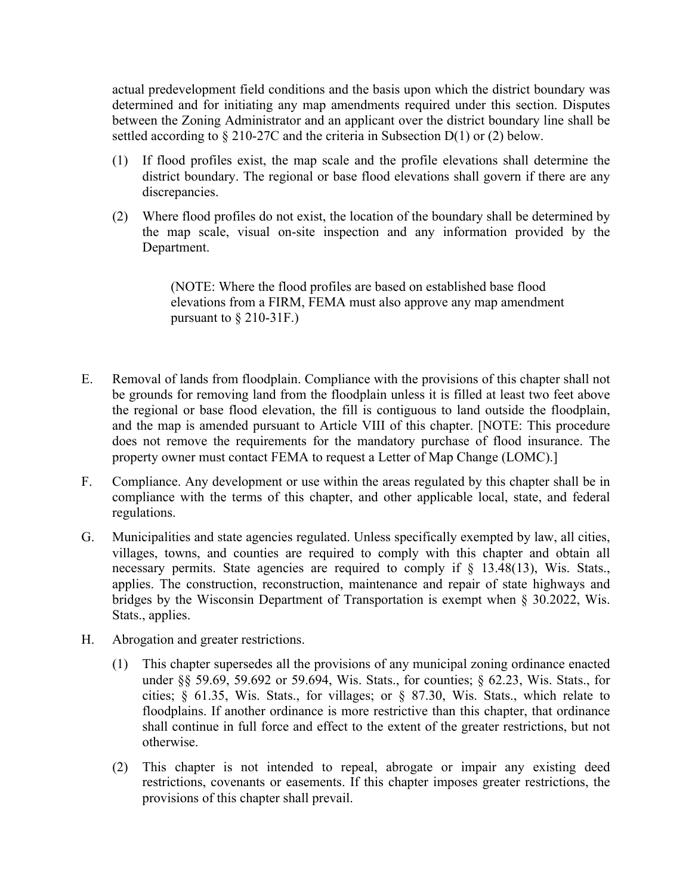actual predevelopment field conditions and the basis upon which the district boundary was determined and for initiating any map amendments required under this section. Disputes between the Zoning Administrator and an applicant over the district boundary line shall be settled according to § 210-27C and the criteria in Subsection D(1) or (2) below.

- (1) If flood profiles exist, the map scale and the profile elevations shall determine the district boundary. The regional or base flood elevations shall govern if there are any discrepancies.
- (2) Where flood profiles do not exist, the location of the boundary shall be determined by the map scale, visual on-site inspection and any information provided by the Department.

(NOTE: Where the flood profiles are based on established base flood elevations from a FIRM, FEMA must also approve any map amendment pursuant to  $\S 210-31F$ .

- E. Removal of lands from floodplain. Compliance with the provisions of this chapter shall not be grounds for removing land from the floodplain unless it is filled at least two feet above the regional or base flood elevation, the fill is contiguous to land outside the floodplain, and the map is amended pursuant to Article VIII of this chapter. [NOTE: This procedure does not remove the requirements for the mandatory purchase of flood insurance. The property owner must contact FEMA to request a Letter of Map Change (LOMC).]
- F. Compliance. Any development or use within the areas regulated by this chapter shall be in compliance with the terms of this chapter, and other applicable local, state, and federal regulations.
- G. Municipalities and state agencies regulated. Unless specifically exempted by law, all cities, villages, towns, and counties are required to comply with this chapter and obtain all necessary permits. State agencies are required to comply if  $\S$  13.48(13), Wis. Stats., applies. The construction, reconstruction, maintenance and repair of state highways and bridges by the Wisconsin Department of Transportation is exempt when § 30.2022, Wis. Stats., applies.
- H. Abrogation and greater restrictions.
	- (1) This chapter supersedes all the provisions of any municipal zoning ordinance enacted under §§ 59.69, 59.692 or 59.694, Wis. Stats., for counties; § 62.23, Wis. Stats., for cities; § 61.35, Wis. Stats., for villages; or § 87.30, Wis. Stats., which relate to floodplains. If another ordinance is more restrictive than this chapter, that ordinance shall continue in full force and effect to the extent of the greater restrictions, but not otherwise.
	- (2) This chapter is not intended to repeal, abrogate or impair any existing deed restrictions, covenants or easements. If this chapter imposes greater restrictions, the provisions of this chapter shall prevail.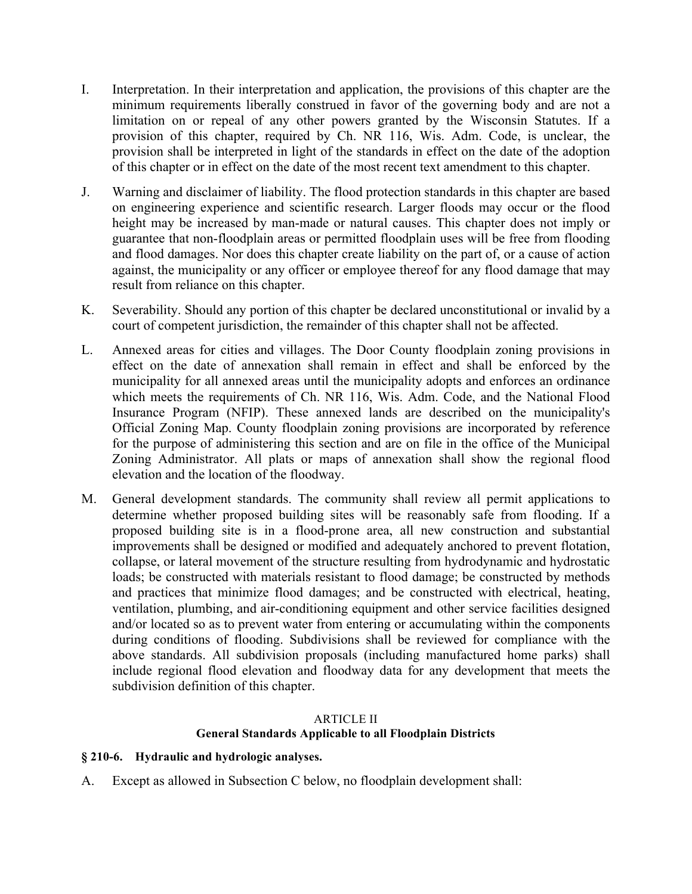- I. Interpretation. In their interpretation and application, the provisions of this chapter are the minimum requirements liberally construed in favor of the governing body and are not a limitation on or repeal of any other powers granted by the Wisconsin Statutes. If a provision of this chapter, required by Ch. NR 116, Wis. Adm. Code, is unclear, the provision shall be interpreted in light of the standards in effect on the date of the adoption of this chapter or in effect on the date of the most recent text amendment to this chapter.
- J. Warning and disclaimer of liability. The flood protection standards in this chapter are based on engineering experience and scientific research. Larger floods may occur or the flood height may be increased by man-made or natural causes. This chapter does not imply or guarantee that non-floodplain areas or permitted floodplain uses will be free from flooding and flood damages. Nor does this chapter create liability on the part of, or a cause of action against, the municipality or any officer or employee thereof for any flood damage that may result from reliance on this chapter.
- K. Severability. Should any portion of this chapter be declared unconstitutional or invalid by a court of competent jurisdiction, the remainder of this chapter shall not be affected.
- L. Annexed areas for cities and villages. The Door County floodplain zoning provisions in effect on the date of annexation shall remain in effect and shall be enforced by the municipality for all annexed areas until the municipality adopts and enforces an ordinance which meets the requirements of Ch. NR 116, Wis. Adm. Code, and the National Flood Insurance Program (NFIP). These annexed lands are described on the municipality's Official Zoning Map. County floodplain zoning provisions are incorporated by reference for the purpose of administering this section and are on file in the office of the Municipal Zoning Administrator. All plats or maps of annexation shall show the regional flood elevation and the location of the floodway.
- M. General development standards. The community shall review all permit applications to determine whether proposed building sites will be reasonably safe from flooding. If a proposed building site is in a flood-prone area, all new construction and substantial improvements shall be designed or modified and adequately anchored to prevent flotation, collapse, or lateral movement of the structure resulting from hydrodynamic and hydrostatic loads; be constructed with materials resistant to flood damage; be constructed by methods and practices that minimize flood damages; and be constructed with electrical, heating, ventilation, plumbing, and air-conditioning equipment and other service facilities designed and/or located so as to prevent water from entering or accumulating within the components during conditions of flooding. Subdivisions shall be reviewed for compliance with the above standards. All subdivision proposals (including manufactured home parks) shall include regional flood elevation and floodway data for any development that meets the subdivision definition of this chapter.

## ARTICLE II **General Standards Applicable to all Floodplain Districts**

## **§ 210-6. Hydraulic and hydrologic analyses.**

A. Except as allowed in Subsection C below, no floodplain development shall: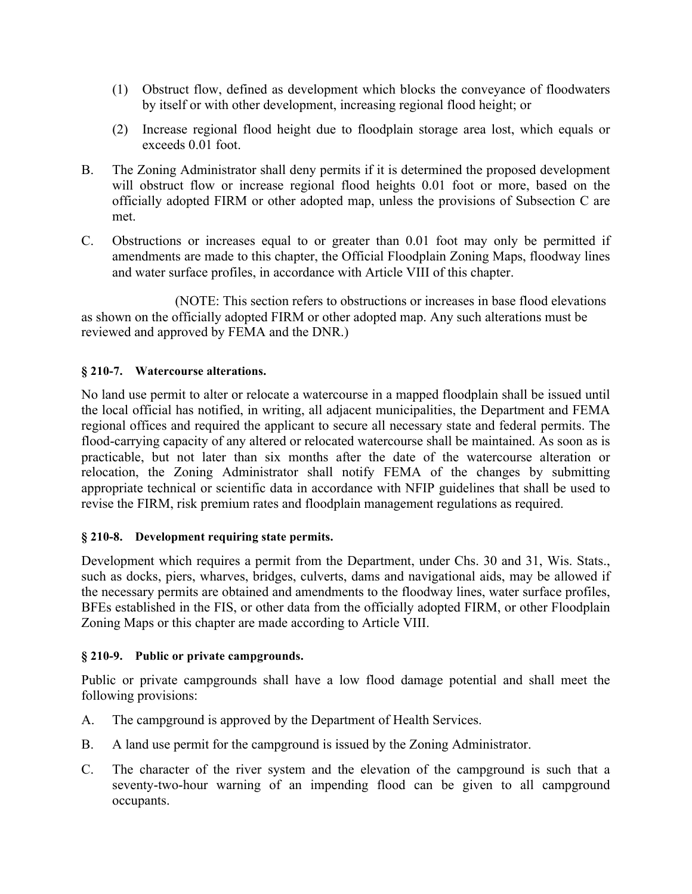- (1) Obstruct flow, defined as development which blocks the conveyance of floodwaters by itself or with other development, increasing regional flood height; or
- (2) Increase regional flood height due to floodplain storage area lost, which equals or exceeds 0.01 foot.
- B. The Zoning Administrator shall deny permits if it is determined the proposed development will obstruct flow or increase regional flood heights 0.01 foot or more, based on the officially adopted FIRM or other adopted map, unless the provisions of Subsection C are met.
- C. Obstructions or increases equal to or greater than 0.01 foot may only be permitted if amendments are made to this chapter, the Official Floodplain Zoning Maps, floodway lines and water surface profiles, in accordance with Article VIII of this chapter.

 (NOTE: This section refers to obstructions or increases in base flood elevations as shown on the officially adopted FIRM or other adopted map. Any such alterations must be reviewed and approved by FEMA and the DNR.)

## **§ 210-7. Watercourse alterations.**

No land use permit to alter or relocate a watercourse in a mapped floodplain shall be issued until the local official has notified, in writing, all adjacent municipalities, the Department and FEMA regional offices and required the applicant to secure all necessary state and federal permits. The flood-carrying capacity of any altered or relocated watercourse shall be maintained. As soon as is practicable, but not later than six months after the date of the watercourse alteration or relocation, the Zoning Administrator shall notify FEMA of the changes by submitting appropriate technical or scientific data in accordance with NFIP guidelines that shall be used to revise the FIRM, risk premium rates and floodplain management regulations as required.

## **§ 210-8. Development requiring state permits.**

Development which requires a permit from the Department, under Chs. 30 and 31, Wis. Stats., such as docks, piers, wharves, bridges, culverts, dams and navigational aids, may be allowed if the necessary permits are obtained and amendments to the floodway lines, water surface profiles, BFEs established in the FIS, or other data from the officially adopted FIRM, or other Floodplain Zoning Maps or this chapter are made according to Article VIII.

## **§ 210-9. Public or private campgrounds.**

Public or private campgrounds shall have a low flood damage potential and shall meet the following provisions:

- A. The campground is approved by the Department of Health Services.
- B. A land use permit for the campground is issued by the Zoning Administrator.
- C. The character of the river system and the elevation of the campground is such that a seventy-two-hour warning of an impending flood can be given to all campground occupants.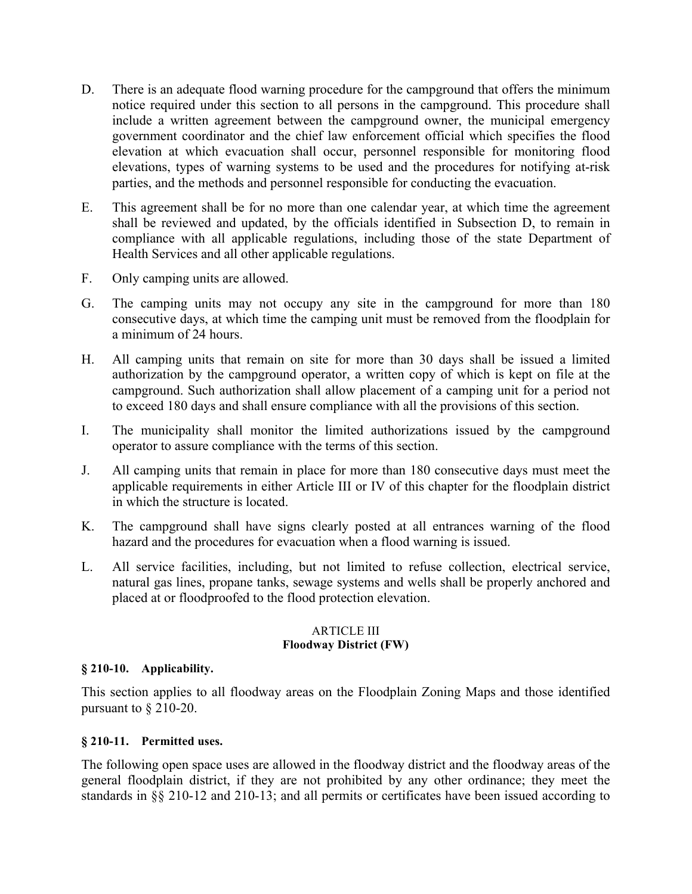- D. There is an adequate flood warning procedure for the campground that offers the minimum notice required under this section to all persons in the campground. This procedure shall include a written agreement between the campground owner, the municipal emergency government coordinator and the chief law enforcement official which specifies the flood elevation at which evacuation shall occur, personnel responsible for monitoring flood elevations, types of warning systems to be used and the procedures for notifying at-risk parties, and the methods and personnel responsible for conducting the evacuation.
- E. This agreement shall be for no more than one calendar year, at which time the agreement shall be reviewed and updated, by the officials identified in Subsection D, to remain in compliance with all applicable regulations, including those of the state Department of Health Services and all other applicable regulations.
- F. Only camping units are allowed.
- G. The camping units may not occupy any site in the campground for more than 180 consecutive days, at which time the camping unit must be removed from the floodplain for a minimum of 24 hours.
- H. All camping units that remain on site for more than 30 days shall be issued a limited authorization by the campground operator, a written copy of which is kept on file at the campground. Such authorization shall allow placement of a camping unit for a period not to exceed 180 days and shall ensure compliance with all the provisions of this section.
- I. The municipality shall monitor the limited authorizations issued by the campground operator to assure compliance with the terms of this section.
- J. All camping units that remain in place for more than 180 consecutive days must meet the applicable requirements in either Article III or IV of this chapter for the floodplain district in which the structure is located.
- K. The campground shall have signs clearly posted at all entrances warning of the flood hazard and the procedures for evacuation when a flood warning is issued.
- L. All service facilities, including, but not limited to refuse collection, electrical service, natural gas lines, propane tanks, sewage systems and wells shall be properly anchored and placed at or floodproofed to the flood protection elevation.

### ARTICLE III **Floodway District (FW)**

### **§ 210-10. Applicability.**

This section applies to all floodway areas on the Floodplain Zoning Maps and those identified pursuant to § 210-20.

### **§ 210-11. Permitted uses.**

The following open space uses are allowed in the floodway district and the floodway areas of the general floodplain district, if they are not prohibited by any other ordinance; they meet the standards in §§ 210-12 and 210-13; and all permits or certificates have been issued according to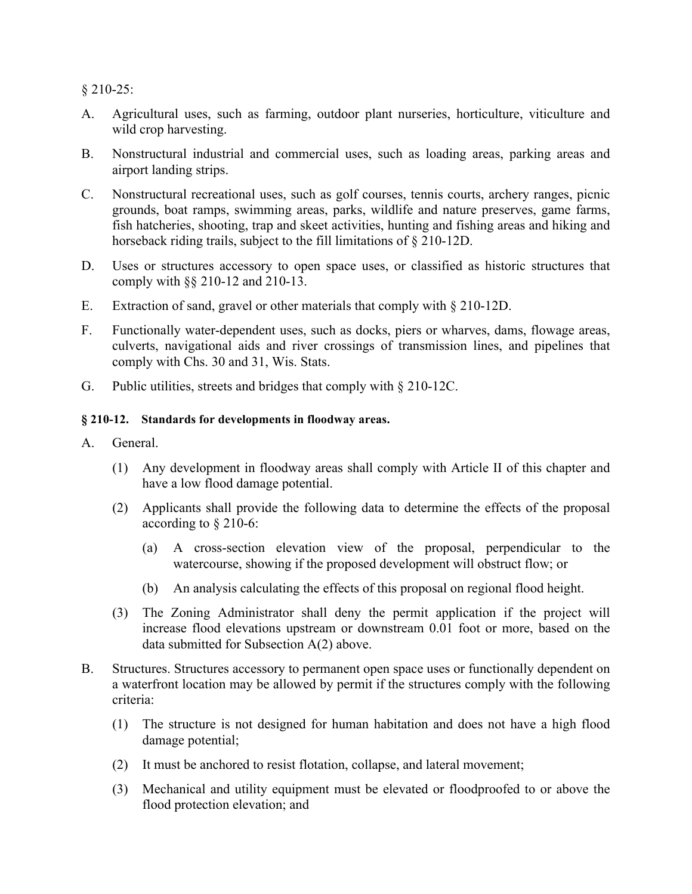§ 210-25:

- A. Agricultural uses, such as farming, outdoor plant nurseries, horticulture, viticulture and wild crop harvesting.
- B. Nonstructural industrial and commercial uses, such as loading areas, parking areas and airport landing strips.
- C. Nonstructural recreational uses, such as golf courses, tennis courts, archery ranges, picnic grounds, boat ramps, swimming areas, parks, wildlife and nature preserves, game farms, fish hatcheries, shooting, trap and skeet activities, hunting and fishing areas and hiking and horseback riding trails, subject to the fill limitations of § 210-12D.
- D. Uses or structures accessory to open space uses, or classified as historic structures that comply with §§ 210-12 and 210-13.
- E. Extraction of sand, gravel or other materials that comply with § 210-12D.
- F. Functionally water-dependent uses, such as docks, piers or wharves, dams, flowage areas, culverts, navigational aids and river crossings of transmission lines, and pipelines that comply with Chs. 30 and 31, Wis. Stats.
- G. Public utilities, streets and bridges that comply with § 210-12C.

### **§ 210-12. Standards for developments in floodway areas.**

- A. General.
	- (1) Any development in floodway areas shall comply with Article II of this chapter and have a low flood damage potential.
	- (2) Applicants shall provide the following data to determine the effects of the proposal according to § 210-6:
		- (a) A cross-section elevation view of the proposal, perpendicular to the watercourse, showing if the proposed development will obstruct flow; or
		- (b) An analysis calculating the effects of this proposal on regional flood height.
	- (3) The Zoning Administrator shall deny the permit application if the project will increase flood elevations upstream or downstream 0.01 foot or more, based on the data submitted for Subsection A(2) above.
- B. Structures. Structures accessory to permanent open space uses or functionally dependent on a waterfront location may be allowed by permit if the structures comply with the following criteria:
	- (1) The structure is not designed for human habitation and does not have a high flood damage potential;
	- (2) It must be anchored to resist flotation, collapse, and lateral movement;
	- (3) Mechanical and utility equipment must be elevated or floodproofed to or above the flood protection elevation; and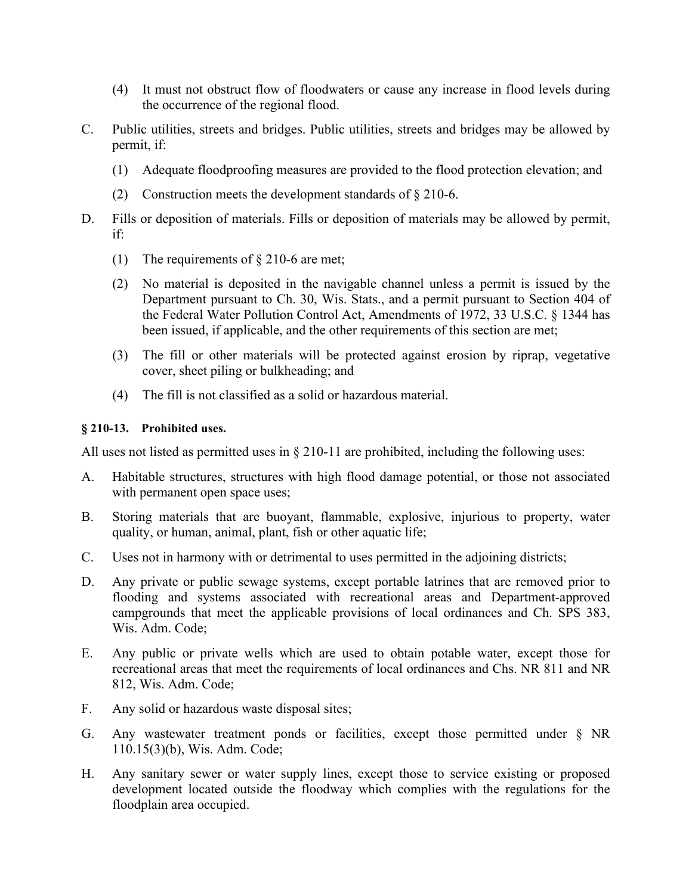- (4) It must not obstruct flow of floodwaters or cause any increase in flood levels during the occurrence of the regional flood.
- C. Public utilities, streets and bridges. Public utilities, streets and bridges may be allowed by permit, if:
	- (1) Adequate floodproofing measures are provided to the flood protection elevation; and
	- (2) Construction meets the development standards of § 210-6.
- D. Fills or deposition of materials. Fills or deposition of materials may be allowed by permit, if:
	- (1) The requirements of § 210-6 are met;
	- (2) No material is deposited in the navigable channel unless a permit is issued by the Department pursuant to Ch. 30, Wis. Stats., and a permit pursuant to Section 404 of the Federal Water Pollution Control Act, Amendments of 1972, 33 U.S.C. § 1344 has been issued, if applicable, and the other requirements of this section are met;
	- (3) The fill or other materials will be protected against erosion by riprap, vegetative cover, sheet piling or bulkheading; and
	- (4) The fill is not classified as a solid or hazardous material.

## **§ 210-13. Prohibited uses.**

All uses not listed as permitted uses in § 210-11 are prohibited, including the following uses:

- A. Habitable structures, structures with high flood damage potential, or those not associated with permanent open space uses;
- B. Storing materials that are buoyant, flammable, explosive, injurious to property, water quality, or human, animal, plant, fish or other aquatic life;
- C. Uses not in harmony with or detrimental to uses permitted in the adjoining districts;
- D. Any private or public sewage systems, except portable latrines that are removed prior to flooding and systems associated with recreational areas and Department-approved campgrounds that meet the applicable provisions of local ordinances and Ch. SPS 383, Wis. Adm. Code;
- E. Any public or private wells which are used to obtain potable water, except those for recreational areas that meet the requirements of local ordinances and Chs. NR 811 and NR 812, Wis. Adm. Code;
- F. Any solid or hazardous waste disposal sites;
- G. Any wastewater treatment ponds or facilities, except those permitted under § NR 110.15(3)(b), Wis. Adm. Code;
- H. Any sanitary sewer or water supply lines, except those to service existing or proposed development located outside the floodway which complies with the regulations for the floodplain area occupied.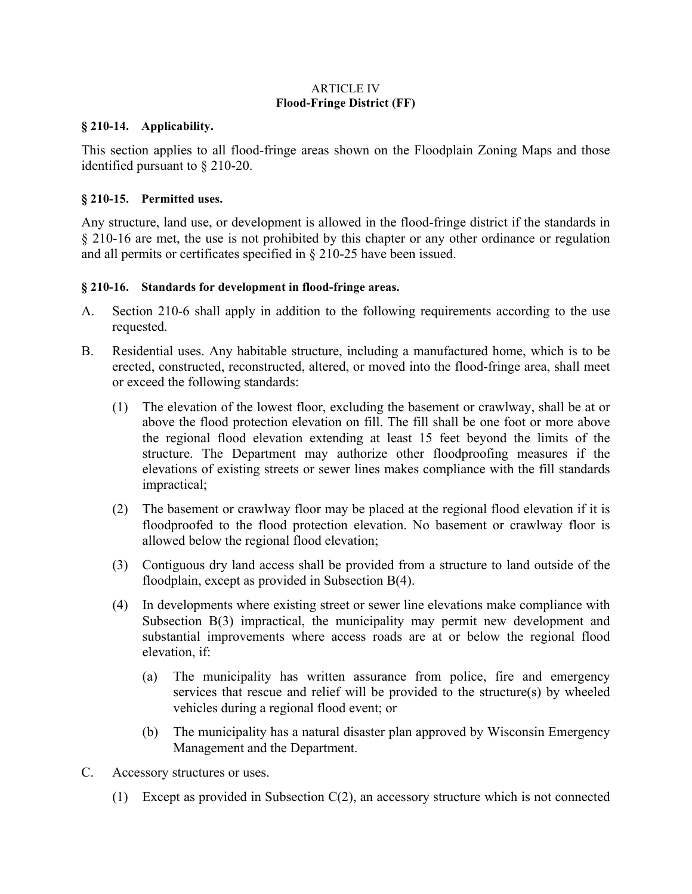### ARTICLE IV **Flood-Fringe District (FF)**

### **§ 210-14. Applicability.**

This section applies to all flood-fringe areas shown on the Floodplain Zoning Maps and those identified pursuant to § 210-20.

## **§ 210-15. Permitted uses.**

Any structure, land use, or development is allowed in the flood-fringe district if the standards in § 210-16 are met, the use is not prohibited by this chapter or any other ordinance or regulation and all permits or certificates specified in § 210-25 have been issued.

## **§ 210-16. Standards for development in flood-fringe areas.**

- A. Section 210-6 shall apply in addition to the following requirements according to the use requested.
- B. Residential uses. Any habitable structure, including a manufactured home, which is to be erected, constructed, reconstructed, altered, or moved into the flood-fringe area, shall meet or exceed the following standards:
	- (1) The elevation of the lowest floor, excluding the basement or crawlway, shall be at or above the flood protection elevation on fill. The fill shall be one foot or more above the regional flood elevation extending at least 15 feet beyond the limits of the structure. The Department may authorize other floodproofing measures if the elevations of existing streets or sewer lines makes compliance with the fill standards impractical;
	- (2) The basement or crawlway floor may be placed at the regional flood elevation if it is floodproofed to the flood protection elevation. No basement or crawlway floor is allowed below the regional flood elevation;
	- (3) Contiguous dry land access shall be provided from a structure to land outside of the floodplain, except as provided in Subsection B(4).
	- (4) In developments where existing street or sewer line elevations make compliance with Subsection B(3) impractical, the municipality may permit new development and substantial improvements where access roads are at or below the regional flood elevation, if:
		- (a) The municipality has written assurance from police, fire and emergency services that rescue and relief will be provided to the structure(s) by wheeled vehicles during a regional flood event; or
		- (b) The municipality has a natural disaster plan approved by Wisconsin Emergency Management and the Department.
- C. Accessory structures or uses.
	- (1) Except as provided in Subsection C(2), an accessory structure which is not connected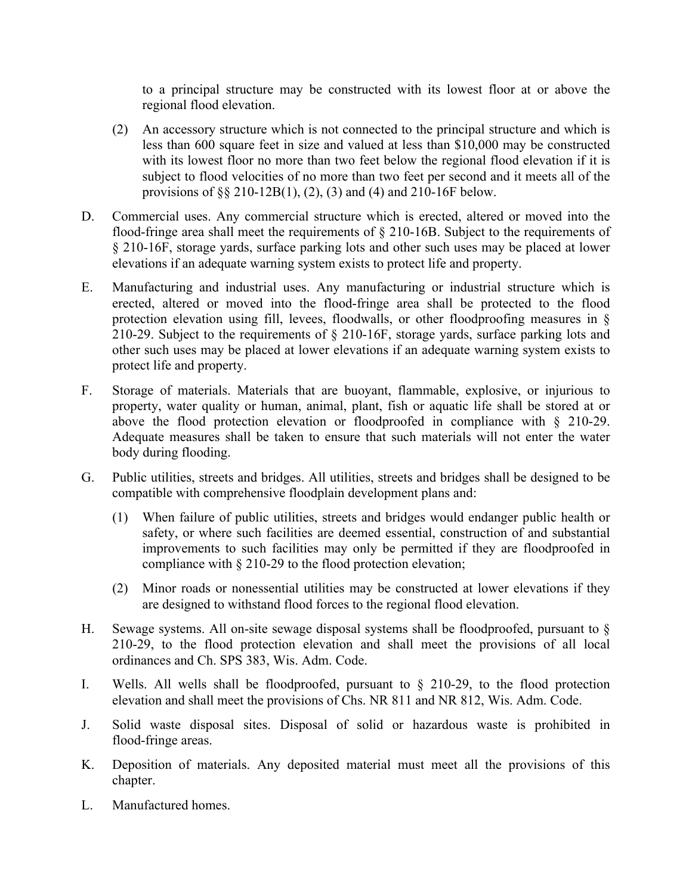to a principal structure may be constructed with its lowest floor at or above the regional flood elevation.

- (2) An accessory structure which is not connected to the principal structure and which is less than 600 square feet in size and valued at less than \$10,000 may be constructed with its lowest floor no more than two feet below the regional flood elevation if it is subject to flood velocities of no more than two feet per second and it meets all of the provisions of §§ 210-12B(1), (2), (3) and (4) and 210-16F below.
- D. Commercial uses. Any commercial structure which is erected, altered or moved into the flood-fringe area shall meet the requirements of § 210-16B. Subject to the requirements of § 210-16F, storage yards, surface parking lots and other such uses may be placed at lower elevations if an adequate warning system exists to protect life and property.
- E. Manufacturing and industrial uses. Any manufacturing or industrial structure which is erected, altered or moved into the flood-fringe area shall be protected to the flood protection elevation using fill, levees, floodwalls, or other floodproofing measures in § 210-29. Subject to the requirements of § 210-16F, storage yards, surface parking lots and other such uses may be placed at lower elevations if an adequate warning system exists to protect life and property.
- F. Storage of materials. Materials that are buoyant, flammable, explosive, or injurious to property, water quality or human, animal, plant, fish or aquatic life shall be stored at or above the flood protection elevation or floodproofed in compliance with § 210-29. Adequate measures shall be taken to ensure that such materials will not enter the water body during flooding.
- G. Public utilities, streets and bridges. All utilities, streets and bridges shall be designed to be compatible with comprehensive floodplain development plans and:
	- (1) When failure of public utilities, streets and bridges would endanger public health or safety, or where such facilities are deemed essential, construction of and substantial improvements to such facilities may only be permitted if they are floodproofed in compliance with § 210-29 to the flood protection elevation;
	- (2) Minor roads or nonessential utilities may be constructed at lower elevations if they are designed to withstand flood forces to the regional flood elevation.
- H. Sewage systems. All on-site sewage disposal systems shall be floodproofed, pursuant to § 210-29, to the flood protection elevation and shall meet the provisions of all local ordinances and Ch. SPS 383, Wis. Adm. Code.
- I. Wells. All wells shall be floodproofed, pursuant to § 210-29, to the flood protection elevation and shall meet the provisions of Chs. NR 811 and NR 812, Wis. Adm. Code.
- J. Solid waste disposal sites. Disposal of solid or hazardous waste is prohibited in flood-fringe areas.
- K. Deposition of materials. Any deposited material must meet all the provisions of this chapter.
- L. Manufactured homes.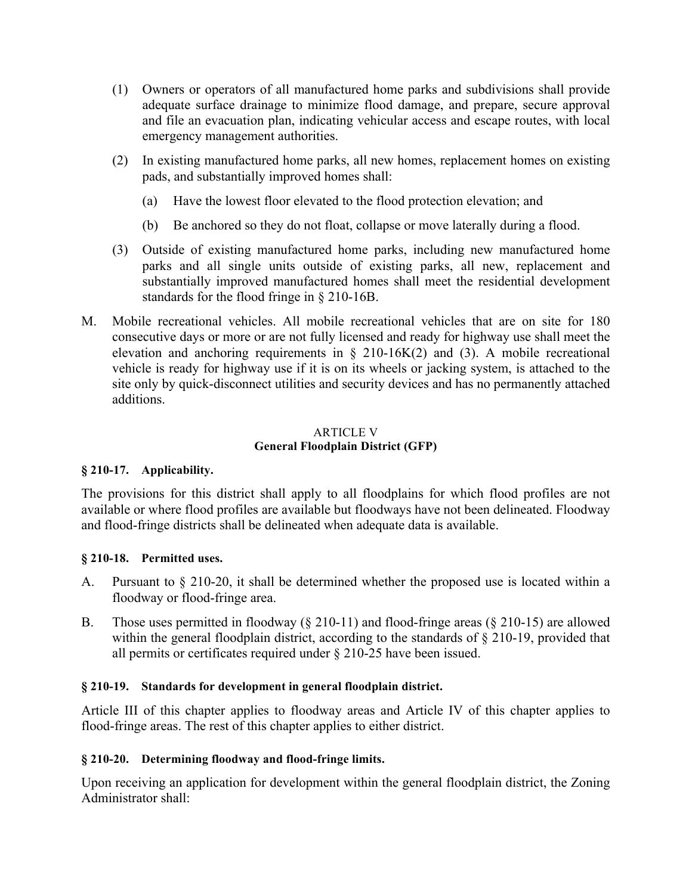- (1) Owners or operators of all manufactured home parks and subdivisions shall provide adequate surface drainage to minimize flood damage, and prepare, secure approval and file an evacuation plan, indicating vehicular access and escape routes, with local emergency management authorities.
- (2) In existing manufactured home parks, all new homes, replacement homes on existing pads, and substantially improved homes shall:
	- (a) Have the lowest floor elevated to the flood protection elevation; and
	- (b) Be anchored so they do not float, collapse or move laterally during a flood.
- (3) Outside of existing manufactured home parks, including new manufactured home parks and all single units outside of existing parks, all new, replacement and substantially improved manufactured homes shall meet the residential development standards for the flood fringe in § 210-16B.
- M. Mobile recreational vehicles. All mobile recreational vehicles that are on site for 180 consecutive days or more or are not fully licensed and ready for highway use shall meet the elevation and anchoring requirements in  $\S$  210-16K(2) and (3). A mobile recreational vehicle is ready for highway use if it is on its wheels or jacking system, is attached to the site only by quick-disconnect utilities and security devices and has no permanently attached additions.

#### ARTICLE V **General Floodplain District (GFP)**

# **§ 210-17. Applicability.**

The provisions for this district shall apply to all floodplains for which flood profiles are not available or where flood profiles are available but floodways have not been delineated. Floodway and flood-fringe districts shall be delineated when adequate data is available.

# **§ 210-18. Permitted uses.**

- A. Pursuant to § 210-20, it shall be determined whether the proposed use is located within a floodway or flood-fringe area.
- B. Those uses permitted in floodway (§ 210-11) and flood-fringe areas (§ 210-15) are allowed within the general floodplain district, according to the standards of § 210-19, provided that all permits or certificates required under § 210-25 have been issued.

## **§ 210-19. Standards for development in general floodplain district.**

Article III of this chapter applies to floodway areas and Article IV of this chapter applies to flood-fringe areas. The rest of this chapter applies to either district.

## **§ 210-20. Determining floodway and flood-fringe limits.**

Upon receiving an application for development within the general floodplain district, the Zoning Administrator shall: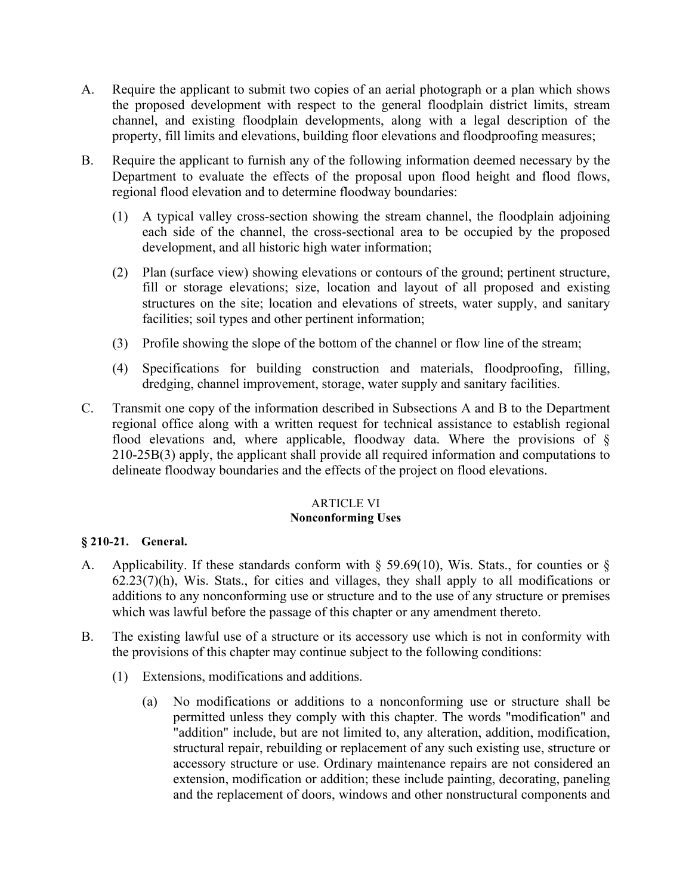- A. Require the applicant to submit two copies of an aerial photograph or a plan which shows the proposed development with respect to the general floodplain district limits, stream channel, and existing floodplain developments, along with a legal description of the property, fill limits and elevations, building floor elevations and floodproofing measures;
- B. Require the applicant to furnish any of the following information deemed necessary by the Department to evaluate the effects of the proposal upon flood height and flood flows, regional flood elevation and to determine floodway boundaries:
	- (1) A typical valley cross-section showing the stream channel, the floodplain adjoining each side of the channel, the cross-sectional area to be occupied by the proposed development, and all historic high water information;
	- (2) Plan (surface view) showing elevations or contours of the ground; pertinent structure, fill or storage elevations; size, location and layout of all proposed and existing structures on the site; location and elevations of streets, water supply, and sanitary facilities; soil types and other pertinent information;
	- (3) Profile showing the slope of the bottom of the channel or flow line of the stream;
	- (4) Specifications for building construction and materials, floodproofing, filling, dredging, channel improvement, storage, water supply and sanitary facilities.
- C. Transmit one copy of the information described in Subsections A and B to the Department regional office along with a written request for technical assistance to establish regional flood elevations and, where applicable, floodway data. Where the provisions of § 210-25B(3) apply, the applicant shall provide all required information and computations to delineate floodway boundaries and the effects of the project on flood elevations.

### ARTICLE VI **Nonconforming Uses**

## **§ 210-21. General.**

- A. Applicability. If these standards conform with § 59.69(10), Wis. Stats., for counties or § 62.23(7)(h), Wis. Stats., for cities and villages, they shall apply to all modifications or additions to any nonconforming use or structure and to the use of any structure or premises which was lawful before the passage of this chapter or any amendment thereto.
- B. The existing lawful use of a structure or its accessory use which is not in conformity with the provisions of this chapter may continue subject to the following conditions:
	- (1) Extensions, modifications and additions.
		- (a) No modifications or additions to a nonconforming use or structure shall be permitted unless they comply with this chapter. The words "modification" and "addition" include, but are not limited to, any alteration, addition, modification, structural repair, rebuilding or replacement of any such existing use, structure or accessory structure or use. Ordinary maintenance repairs are not considered an extension, modification or addition; these include painting, decorating, paneling and the replacement of doors, windows and other nonstructural components and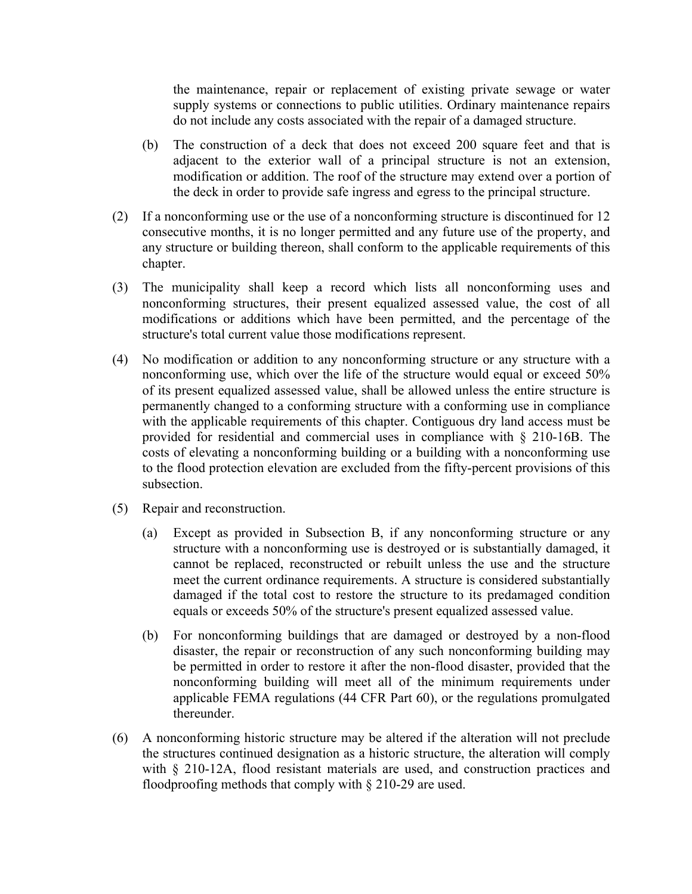the maintenance, repair or replacement of existing private sewage or water supply systems or connections to public utilities. Ordinary maintenance repairs do not include any costs associated with the repair of a damaged structure.

- (b) The construction of a deck that does not exceed 200 square feet and that is adjacent to the exterior wall of a principal structure is not an extension, modification or addition. The roof of the structure may extend over a portion of the deck in order to provide safe ingress and egress to the principal structure.
- (2) If a nonconforming use or the use of a nonconforming structure is discontinued for 12 consecutive months, it is no longer permitted and any future use of the property, and any structure or building thereon, shall conform to the applicable requirements of this chapter.
- (3) The municipality shall keep a record which lists all nonconforming uses and nonconforming structures, their present equalized assessed value, the cost of all modifications or additions which have been permitted, and the percentage of the structure's total current value those modifications represent.
- (4) No modification or addition to any nonconforming structure or any structure with a nonconforming use, which over the life of the structure would equal or exceed 50% of its present equalized assessed value, shall be allowed unless the entire structure is permanently changed to a conforming structure with a conforming use in compliance with the applicable requirements of this chapter. Contiguous dry land access must be provided for residential and commercial uses in compliance with § 210-16B. The costs of elevating a nonconforming building or a building with a nonconforming use to the flood protection elevation are excluded from the fifty-percent provisions of this subsection.
- (5) Repair and reconstruction.
	- (a) Except as provided in Subsection B, if any nonconforming structure or any structure with a nonconforming use is destroyed or is substantially damaged, it cannot be replaced, reconstructed or rebuilt unless the use and the structure meet the current ordinance requirements. A structure is considered substantially damaged if the total cost to restore the structure to its predamaged condition equals or exceeds 50% of the structure's present equalized assessed value.
	- (b) For nonconforming buildings that are damaged or destroyed by a non-flood disaster, the repair or reconstruction of any such nonconforming building may be permitted in order to restore it after the non-flood disaster, provided that the nonconforming building will meet all of the minimum requirements under applicable FEMA regulations (44 CFR Part 60), or the regulations promulgated thereunder.
- (6) A nonconforming historic structure may be altered if the alteration will not preclude the structures continued designation as a historic structure, the alteration will comply with § 210-12A, flood resistant materials are used, and construction practices and floodproofing methods that comply with § 210-29 are used.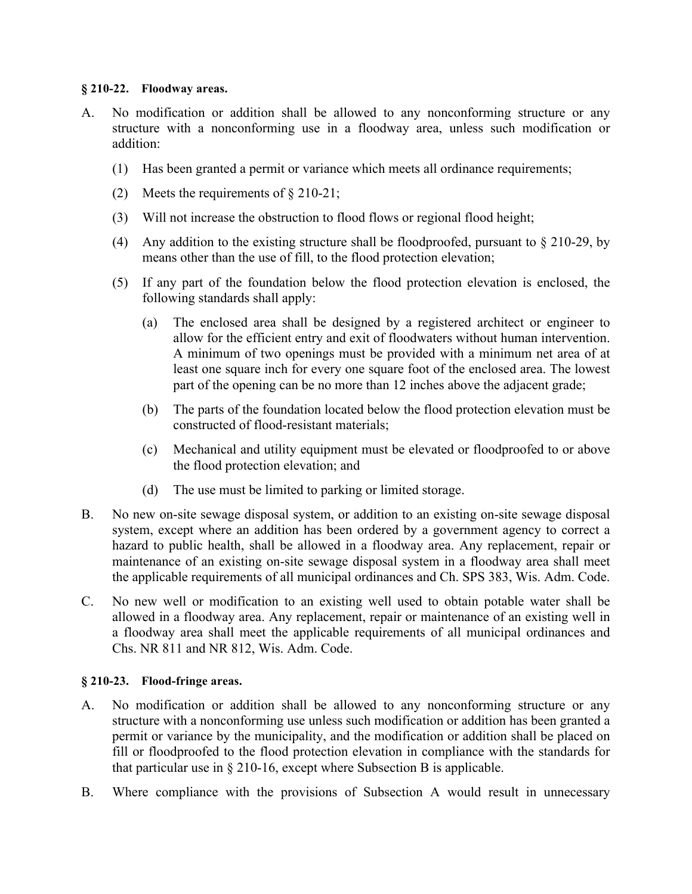### **§ 210-22. Floodway areas.**

- A. No modification or addition shall be allowed to any nonconforming structure or any structure with a nonconforming use in a floodway area, unless such modification or addition:
	- (1) Has been granted a permit or variance which meets all ordinance requirements;
	- (2) Meets the requirements of § 210-21;
	- (3) Will not increase the obstruction to flood flows or regional flood height;
	- (4) Any addition to the existing structure shall be floodproofed, pursuant to § 210-29, by means other than the use of fill, to the flood protection elevation;
	- (5) If any part of the foundation below the flood protection elevation is enclosed, the following standards shall apply:
		- (a) The enclosed area shall be designed by a registered architect or engineer to allow for the efficient entry and exit of floodwaters without human intervention. A minimum of two openings must be provided with a minimum net area of at least one square inch for every one square foot of the enclosed area. The lowest part of the opening can be no more than 12 inches above the adjacent grade;
		- (b) The parts of the foundation located below the flood protection elevation must be constructed of flood-resistant materials;
		- (c) Mechanical and utility equipment must be elevated or floodproofed to or above the flood protection elevation; and
		- (d) The use must be limited to parking or limited storage.
- B. No new on-site sewage disposal system, or addition to an existing on-site sewage disposal system, except where an addition has been ordered by a government agency to correct a hazard to public health, shall be allowed in a floodway area. Any replacement, repair or maintenance of an existing on-site sewage disposal system in a floodway area shall meet the applicable requirements of all municipal ordinances and Ch. SPS 383, Wis. Adm. Code.
- C. No new well or modification to an existing well used to obtain potable water shall be allowed in a floodway area. Any replacement, repair or maintenance of an existing well in a floodway area shall meet the applicable requirements of all municipal ordinances and Chs. NR 811 and NR 812, Wis. Adm. Code.

## **§ 210-23. Flood-fringe areas.**

- A. No modification or addition shall be allowed to any nonconforming structure or any structure with a nonconforming use unless such modification or addition has been granted a permit or variance by the municipality, and the modification or addition shall be placed on fill or floodproofed to the flood protection elevation in compliance with the standards for that particular use in § 210-16, except where Subsection B is applicable.
- B. Where compliance with the provisions of Subsection A would result in unnecessary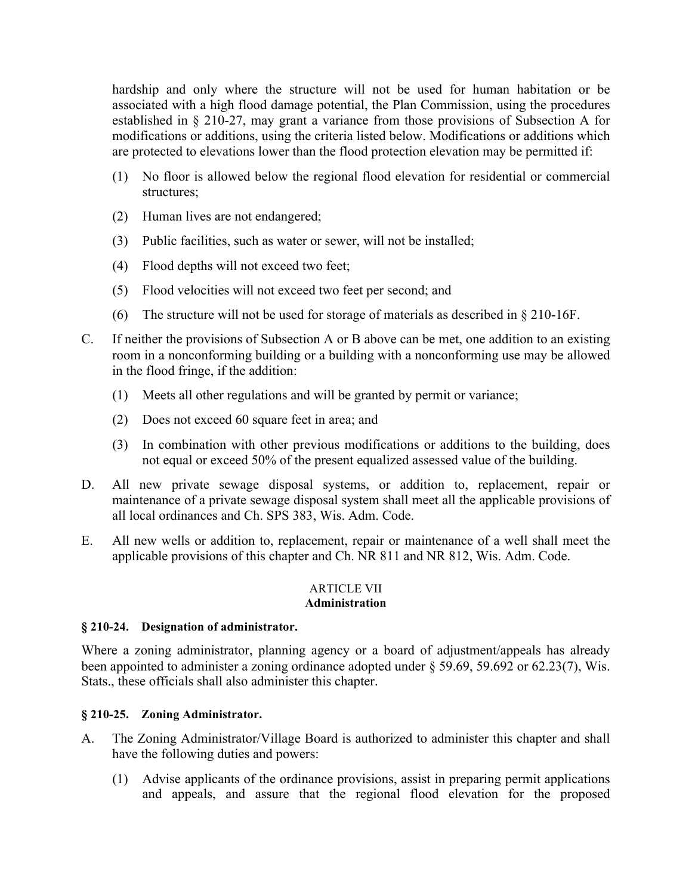hardship and only where the structure will not be used for human habitation or be associated with a high flood damage potential, the Plan Commission, using the procedures established in § 210-27, may grant a variance from those provisions of Subsection A for modifications or additions, using the criteria listed below. Modifications or additions which are protected to elevations lower than the flood protection elevation may be permitted if:

- (1) No floor is allowed below the regional flood elevation for residential or commercial structures;
- (2) Human lives are not endangered;
- (3) Public facilities, such as water or sewer, will not be installed;
- (4) Flood depths will not exceed two feet;
- (5) Flood velocities will not exceed two feet per second; and
- (6) The structure will not be used for storage of materials as described in § 210-16F.
- C. If neither the provisions of Subsection A or B above can be met, one addition to an existing room in a nonconforming building or a building with a nonconforming use may be allowed in the flood fringe, if the addition:
	- (1) Meets all other regulations and will be granted by permit or variance;
	- (2) Does not exceed 60 square feet in area; and
	- (3) In combination with other previous modifications or additions to the building, does not equal or exceed 50% of the present equalized assessed value of the building.
- D. All new private sewage disposal systems, or addition to, replacement, repair or maintenance of a private sewage disposal system shall meet all the applicable provisions of all local ordinances and Ch. SPS 383, Wis. Adm. Code.
- E. All new wells or addition to, replacement, repair or maintenance of a well shall meet the applicable provisions of this chapter and Ch. NR 811 and NR 812, Wis. Adm. Code.

### ARTICLE VII **Administration**

# **§ 210-24. Designation of administrator.**

Where a zoning administrator, planning agency or a board of adjustment/appeals has already been appointed to administer a zoning ordinance adopted under § 59.69, 59.692 or 62.23(7), Wis. Stats., these officials shall also administer this chapter.

# **§ 210-25. Zoning Administrator.**

- A. The Zoning Administrator/Village Board is authorized to administer this chapter and shall have the following duties and powers:
	- (1) Advise applicants of the ordinance provisions, assist in preparing permit applications and appeals, and assure that the regional flood elevation for the proposed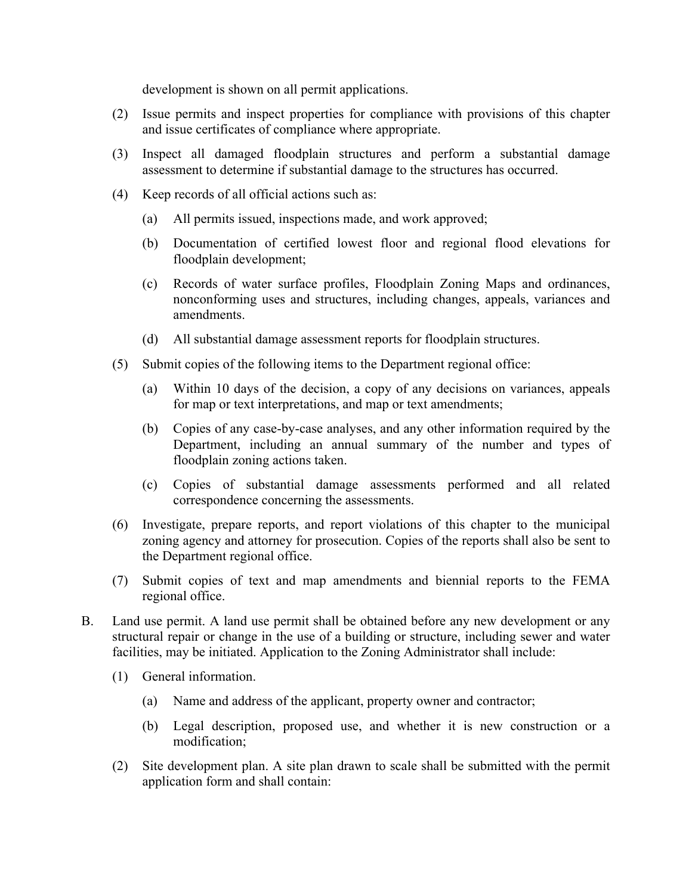development is shown on all permit applications.

- (2) Issue permits and inspect properties for compliance with provisions of this chapter and issue certificates of compliance where appropriate.
- (3) Inspect all damaged floodplain structures and perform a substantial damage assessment to determine if substantial damage to the structures has occurred.
- (4) Keep records of all official actions such as:
	- (a) All permits issued, inspections made, and work approved;
	- (b) Documentation of certified lowest floor and regional flood elevations for floodplain development;
	- (c) Records of water surface profiles, Floodplain Zoning Maps and ordinances, nonconforming uses and structures, including changes, appeals, variances and amendments.
	- (d) All substantial damage assessment reports for floodplain structures.
- (5) Submit copies of the following items to the Department regional office:
	- (a) Within 10 days of the decision, a copy of any decisions on variances, appeals for map or text interpretations, and map or text amendments;
	- (b) Copies of any case-by-case analyses, and any other information required by the Department, including an annual summary of the number and types of floodplain zoning actions taken.
	- (c) Copies of substantial damage assessments performed and all related correspondence concerning the assessments.
- (6) Investigate, prepare reports, and report violations of this chapter to the municipal zoning agency and attorney for prosecution. Copies of the reports shall also be sent to the Department regional office.
- (7) Submit copies of text and map amendments and biennial reports to the FEMA regional office.
- B. Land use permit. A land use permit shall be obtained before any new development or any structural repair or change in the use of a building or structure, including sewer and water facilities, may be initiated. Application to the Zoning Administrator shall include:
	- (1) General information.
		- (a) Name and address of the applicant, property owner and contractor;
		- (b) Legal description, proposed use, and whether it is new construction or a modification;
	- (2) Site development plan. A site plan drawn to scale shall be submitted with the permit application form and shall contain: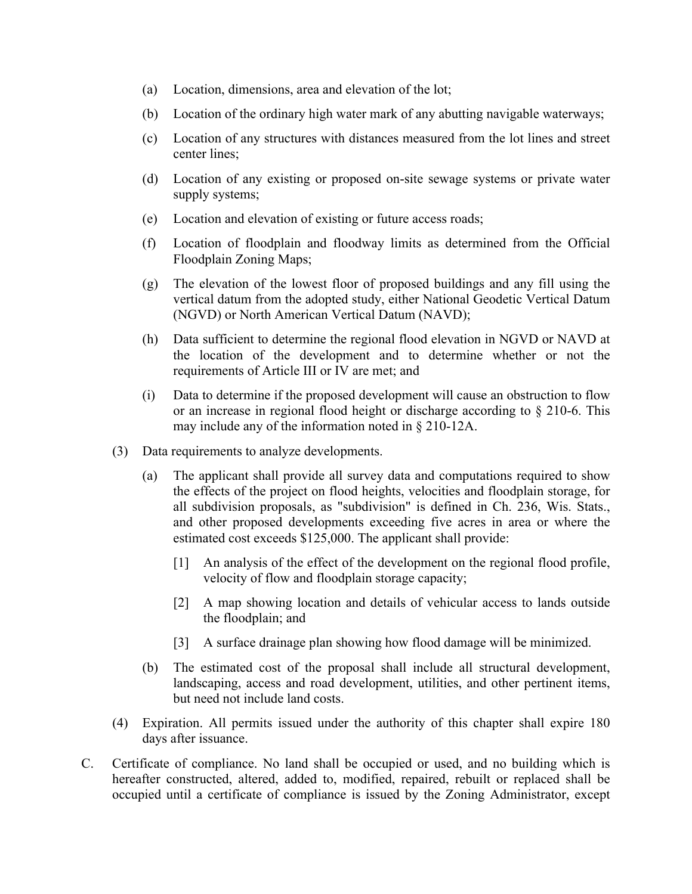- (a) Location, dimensions, area and elevation of the lot;
- (b) Location of the ordinary high water mark of any abutting navigable waterways;
- (c) Location of any structures with distances measured from the lot lines and street center lines;
- (d) Location of any existing or proposed on-site sewage systems or private water supply systems;
- (e) Location and elevation of existing or future access roads;
- (f) Location of floodplain and floodway limits as determined from the Official Floodplain Zoning Maps;
- (g) The elevation of the lowest floor of proposed buildings and any fill using the vertical datum from the adopted study, either National Geodetic Vertical Datum (NGVD) or North American Vertical Datum (NAVD);
- (h) Data sufficient to determine the regional flood elevation in NGVD or NAVD at the location of the development and to determine whether or not the requirements of Article III or IV are met; and
- (i) Data to determine if the proposed development will cause an obstruction to flow or an increase in regional flood height or discharge according to § 210-6. This may include any of the information noted in § 210-12A.
- (3) Data requirements to analyze developments.
	- (a) The applicant shall provide all survey data and computations required to show the effects of the project on flood heights, velocities and floodplain storage, for all subdivision proposals, as "subdivision" is defined in Ch. 236, Wis. Stats., and other proposed developments exceeding five acres in area or where the estimated cost exceeds \$125,000. The applicant shall provide:
		- [1] An analysis of the effect of the development on the regional flood profile, velocity of flow and floodplain storage capacity;
		- [2] A map showing location and details of vehicular access to lands outside the floodplain; and
		- [3] A surface drainage plan showing how flood damage will be minimized.
	- (b) The estimated cost of the proposal shall include all structural development, landscaping, access and road development, utilities, and other pertinent items, but need not include land costs.
- (4) Expiration. All permits issued under the authority of this chapter shall expire 180 days after issuance.
- C. Certificate of compliance. No land shall be occupied or used, and no building which is hereafter constructed, altered, added to, modified, repaired, rebuilt or replaced shall be occupied until a certificate of compliance is issued by the Zoning Administrator, except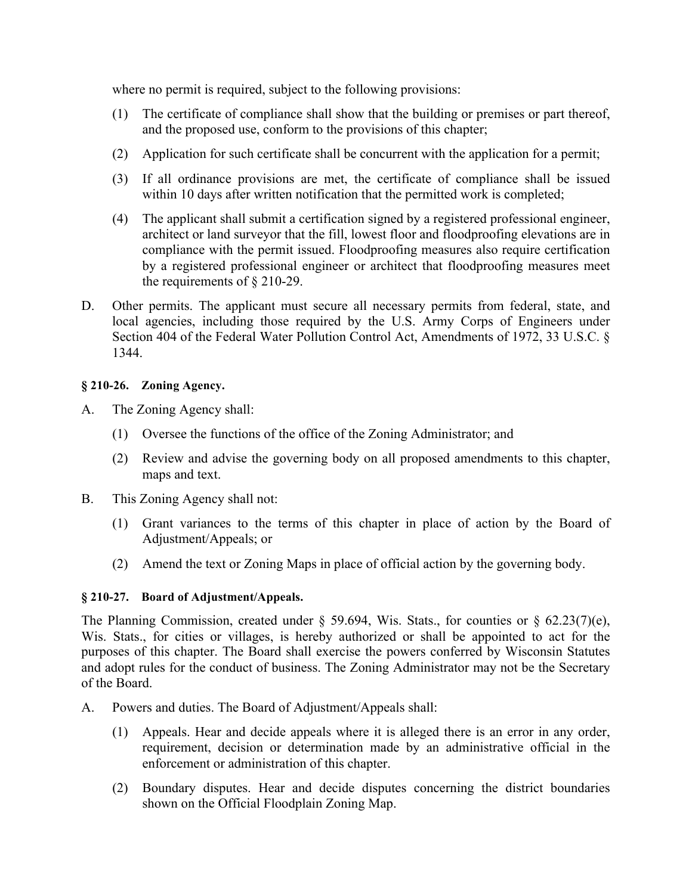where no permit is required, subject to the following provisions:

- (1) The certificate of compliance shall show that the building or premises or part thereof, and the proposed use, conform to the provisions of this chapter;
- (2) Application for such certificate shall be concurrent with the application for a permit;
- (3) If all ordinance provisions are met, the certificate of compliance shall be issued within 10 days after written notification that the permitted work is completed;
- (4) The applicant shall submit a certification signed by a registered professional engineer, architect or land surveyor that the fill, lowest floor and floodproofing elevations are in compliance with the permit issued. Floodproofing measures also require certification by a registered professional engineer or architect that floodproofing measures meet the requirements of § 210-29.
- D. Other permits. The applicant must secure all necessary permits from federal, state, and local agencies, including those required by the U.S. Army Corps of Engineers under Section 404 of the Federal Water Pollution Control Act, Amendments of 1972, 33 U.S.C. § 1344.

## **§ 210-26. Zoning Agency.**

- A. The Zoning Agency shall:
	- (1) Oversee the functions of the office of the Zoning Administrator; and
	- (2) Review and advise the governing body on all proposed amendments to this chapter, maps and text.
- B. This Zoning Agency shall not:
	- (1) Grant variances to the terms of this chapter in place of action by the Board of Adjustment/Appeals; or
	- (2) Amend the text or Zoning Maps in place of official action by the governing body.

## **§ 210-27. Board of Adjustment/Appeals.**

The Planning Commission, created under  $\S$  59.694, Wis. Stats., for counties or  $\S$  62.23(7)(e), Wis. Stats., for cities or villages, is hereby authorized or shall be appointed to act for the purposes of this chapter. The Board shall exercise the powers conferred by Wisconsin Statutes and adopt rules for the conduct of business. The Zoning Administrator may not be the Secretary of the Board.

- A. Powers and duties. The Board of Adjustment/Appeals shall:
	- (1) Appeals. Hear and decide appeals where it is alleged there is an error in any order, requirement, decision or determination made by an administrative official in the enforcement or administration of this chapter.
	- (2) Boundary disputes. Hear and decide disputes concerning the district boundaries shown on the Official Floodplain Zoning Map.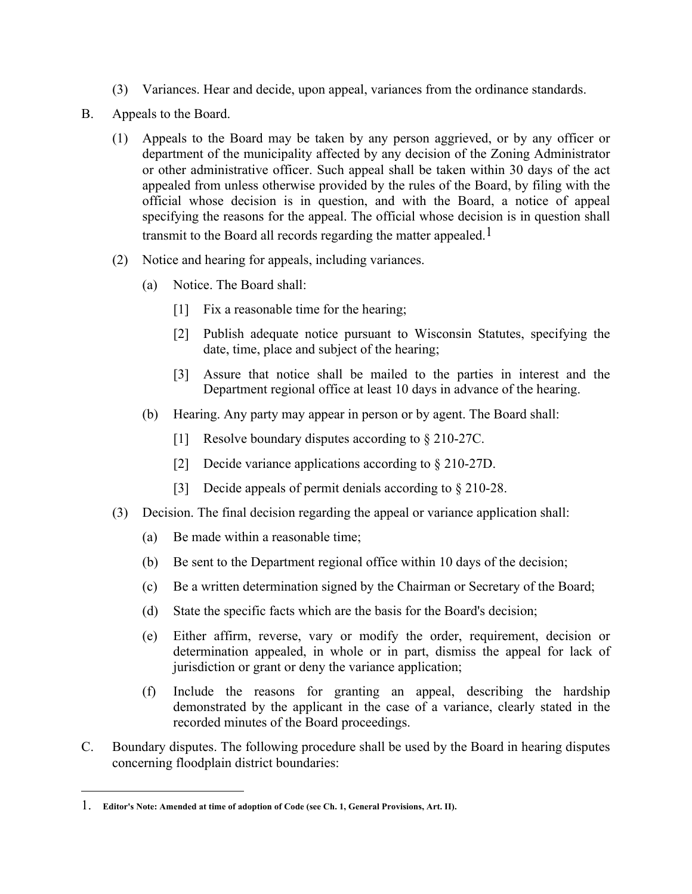- (3) Variances. Hear and decide, upon appeal, variances from the ordinance standards.
- B. Appeals to the Board.
	- (1) Appeals to the Board may be taken by any person aggrieved, or by any officer or department of the municipality affected by any decision of the Zoning Administrator or other administrative officer. Such appeal shall be taken within 30 days of the act appealed from unless otherwise provided by the rules of the Board, by filing with the official whose decision is in question, and with the Board, a notice of appeal specifying the reasons for the appeal. The official whose decision is in question shall transmit to the Board all records regarding the matter appealed.<sup>1</sup>
	- (2) Notice and hearing for appeals, including variances.
		- (a) Notice. The Board shall:
			- [1] Fix a reasonable time for the hearing;
			- [2] Publish adequate notice pursuant to Wisconsin Statutes, specifying the date, time, place and subject of the hearing;
			- [3] Assure that notice shall be mailed to the parties in interest and the Department regional office at least 10 days in advance of the hearing.
		- (b) Hearing. Any party may appear in person or by agent. The Board shall:
			- [1] Resolve boundary disputes according to § 210-27C.
			- [2] Decide variance applications according to § 210-27D.
			- [3] Decide appeals of permit denials according to § 210-28.
	- (3) Decision. The final decision regarding the appeal or variance application shall:
		- (a) Be made within a reasonable time;
		- (b) Be sent to the Department regional office within 10 days of the decision;
		- (c) Be a written determination signed by the Chairman or Secretary of the Board;
		- (d) State the specific facts which are the basis for the Board's decision;
		- (e) Either affirm, reverse, vary or modify the order, requirement, decision or determination appealed, in whole or in part, dismiss the appeal for lack of jurisdiction or grant or deny the variance application;
		- (f) Include the reasons for granting an appeal, describing the hardship demonstrated by the applicant in the case of a variance, clearly stated in the recorded minutes of the Board proceedings.
- C. Boundary disputes. The following procedure shall be used by the Board in hearing disputes concerning floodplain district boundaries:

<u> 1989 - Johann Stein, fransk politik (d. 1989)</u>

<sup>1.</sup> **Editor's Note: Amended at time of adoption of Code (see Ch. 1, General Provisions, Art. II).**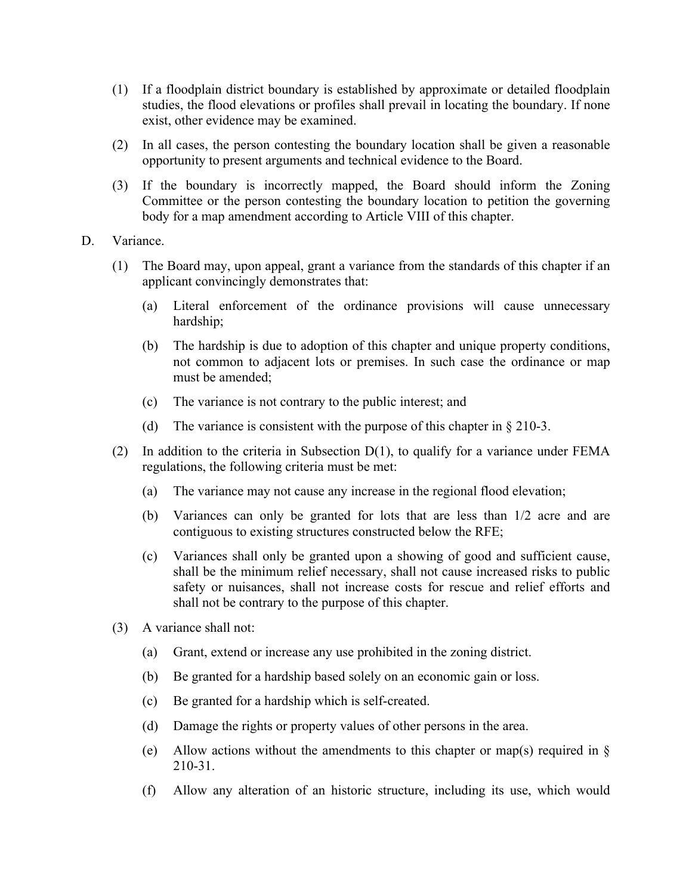- (1) If a floodplain district boundary is established by approximate or detailed floodplain studies, the flood elevations or profiles shall prevail in locating the boundary. If none exist, other evidence may be examined.
- (2) In all cases, the person contesting the boundary location shall be given a reasonable opportunity to present arguments and technical evidence to the Board.
- (3) If the boundary is incorrectly mapped, the Board should inform the Zoning Committee or the person contesting the boundary location to petition the governing body for a map amendment according to Article VIII of this chapter.
- D. Variance.
	- (1) The Board may, upon appeal, grant a variance from the standards of this chapter if an applicant convincingly demonstrates that:
		- (a) Literal enforcement of the ordinance provisions will cause unnecessary hardship;
		- (b) The hardship is due to adoption of this chapter and unique property conditions, not common to adjacent lots or premises. In such case the ordinance or map must be amended;
		- (c) The variance is not contrary to the public interest; and
		- (d) The variance is consistent with the purpose of this chapter in § 210-3.
	- (2) In addition to the criteria in Subsection D(1), to qualify for a variance under FEMA regulations, the following criteria must be met:
		- (a) The variance may not cause any increase in the regional flood elevation;
		- (b) Variances can only be granted for lots that are less than 1/2 acre and are contiguous to existing structures constructed below the RFE;
		- (c) Variances shall only be granted upon a showing of good and sufficient cause, shall be the minimum relief necessary, shall not cause increased risks to public safety or nuisances, shall not increase costs for rescue and relief efforts and shall not be contrary to the purpose of this chapter.
	- (3) A variance shall not:
		- (a) Grant, extend or increase any use prohibited in the zoning district.
		- (b) Be granted for a hardship based solely on an economic gain or loss.
		- (c) Be granted for a hardship which is self-created.
		- (d) Damage the rights or property values of other persons in the area.
		- (e) Allow actions without the amendments to this chapter or map(s) required in  $\S$ 210-31.
		- (f) Allow any alteration of an historic structure, including its use, which would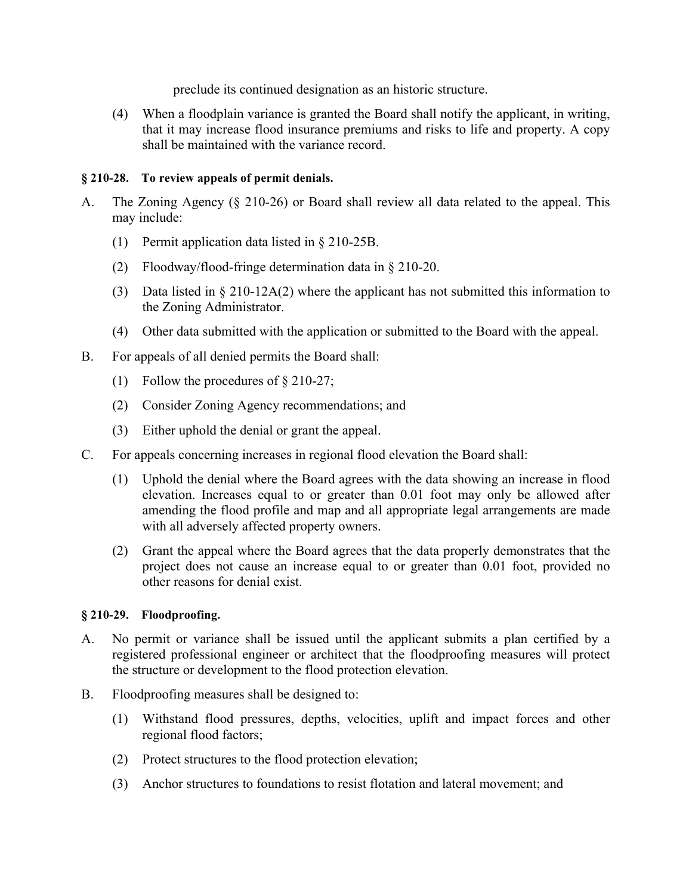preclude its continued designation as an historic structure.

(4) When a floodplain variance is granted the Board shall notify the applicant, in writing, that it may increase flood insurance premiums and risks to life and property. A copy shall be maintained with the variance record.

## **§ 210-28. To review appeals of permit denials.**

- A. The Zoning Agency (§ 210-26) or Board shall review all data related to the appeal. This may include:
	- (1) Permit application data listed in § 210-25B.
	- (2) Floodway/flood-fringe determination data in § 210-20.
	- (3) Data listed in § 210-12A(2) where the applicant has not submitted this information to the Zoning Administrator.
	- (4) Other data submitted with the application or submitted to the Board with the appeal.
- B. For appeals of all denied permits the Board shall:
	- (1) Follow the procedures of § 210-27;
	- (2) Consider Zoning Agency recommendations; and
	- (3) Either uphold the denial or grant the appeal.
- C. For appeals concerning increases in regional flood elevation the Board shall:
	- (1) Uphold the denial where the Board agrees with the data showing an increase in flood elevation. Increases equal to or greater than 0.01 foot may only be allowed after amending the flood profile and map and all appropriate legal arrangements are made with all adversely affected property owners.
	- (2) Grant the appeal where the Board agrees that the data properly demonstrates that the project does not cause an increase equal to or greater than 0.01 foot, provided no other reasons for denial exist.

# **§ 210-29. Floodproofing.**

- A. No permit or variance shall be issued until the applicant submits a plan certified by a registered professional engineer or architect that the floodproofing measures will protect the structure or development to the flood protection elevation.
- B. Floodproofing measures shall be designed to:
	- (1) Withstand flood pressures, depths, velocities, uplift and impact forces and other regional flood factors;
	- (2) Protect structures to the flood protection elevation;
	- (3) Anchor structures to foundations to resist flotation and lateral movement; and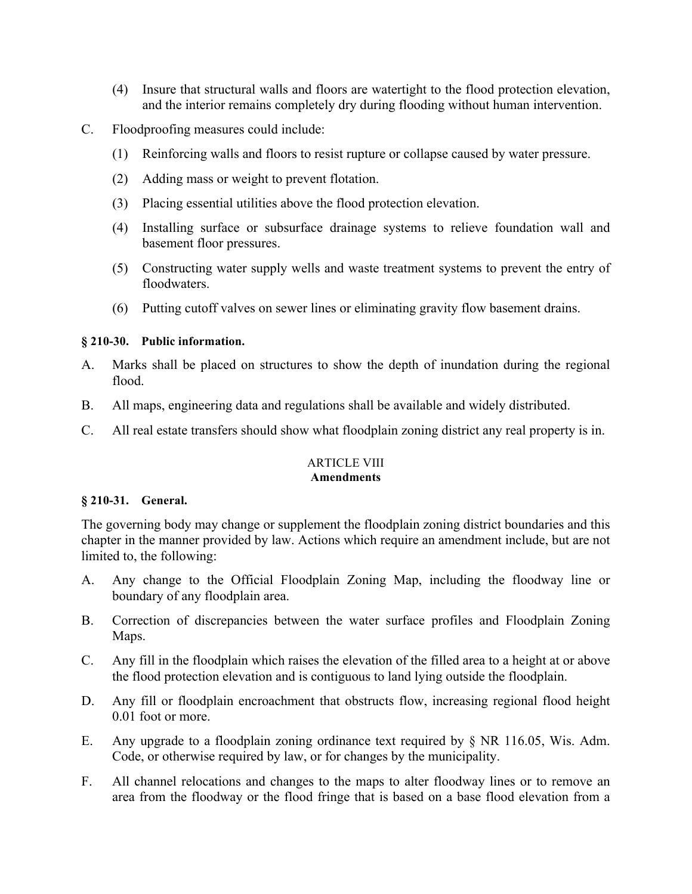- (4) Insure that structural walls and floors are watertight to the flood protection elevation, and the interior remains completely dry during flooding without human intervention.
- C. Floodproofing measures could include:
	- (1) Reinforcing walls and floors to resist rupture or collapse caused by water pressure.
	- (2) Adding mass or weight to prevent flotation.
	- (3) Placing essential utilities above the flood protection elevation.
	- (4) Installing surface or subsurface drainage systems to relieve foundation wall and basement floor pressures.
	- (5) Constructing water supply wells and waste treatment systems to prevent the entry of floodwaters.
	- (6) Putting cutoff valves on sewer lines or eliminating gravity flow basement drains.

## **§ 210-30. Public information.**

- A. Marks shall be placed on structures to show the depth of inundation during the regional flood.
- B. All maps, engineering data and regulations shall be available and widely distributed.
- C. All real estate transfers should show what floodplain zoning district any real property is in.

#### ARTICLE VIII **Amendments**

## **§ 210-31. General.**

The governing body may change or supplement the floodplain zoning district boundaries and this chapter in the manner provided by law. Actions which require an amendment include, but are not limited to, the following:

- A. Any change to the Official Floodplain Zoning Map, including the floodway line or boundary of any floodplain area.
- B. Correction of discrepancies between the water surface profiles and Floodplain Zoning Maps.
- C. Any fill in the floodplain which raises the elevation of the filled area to a height at or above the flood protection elevation and is contiguous to land lying outside the floodplain.
- D. Any fill or floodplain encroachment that obstructs flow, increasing regional flood height 0.01 foot or more.
- E. Any upgrade to a floodplain zoning ordinance text required by § NR 116.05, Wis. Adm. Code, or otherwise required by law, or for changes by the municipality.
- F. All channel relocations and changes to the maps to alter floodway lines or to remove an area from the floodway or the flood fringe that is based on a base flood elevation from a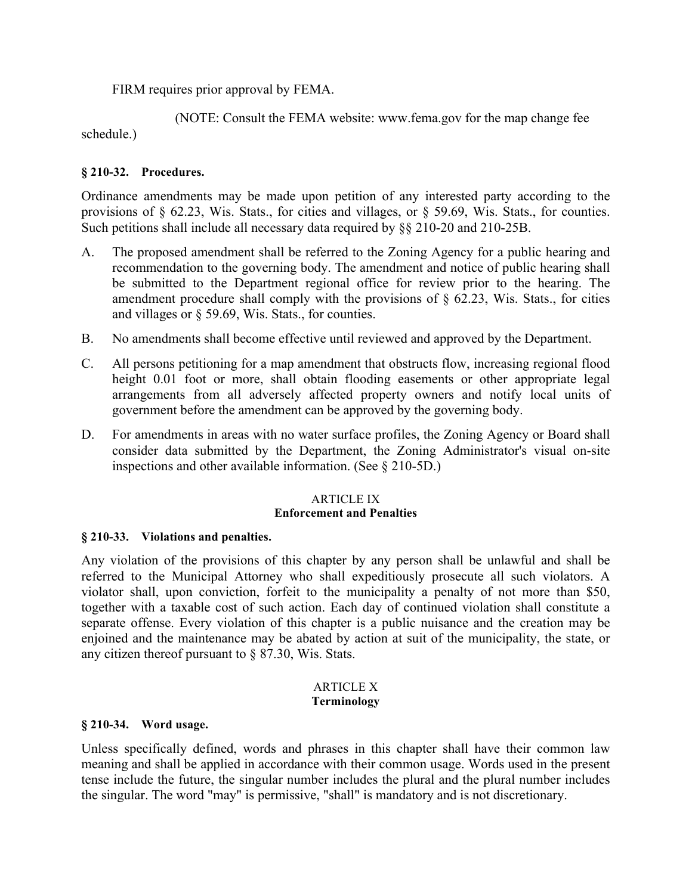FIRM requires prior approval by FEMA.

 (NOTE: Consult the FEMA website: www.fema.gov for the map change fee schedule.)

## **§ 210-32. Procedures.**

Ordinance amendments may be made upon petition of any interested party according to the provisions of § 62.23, Wis. Stats., for cities and villages, or § 59.69, Wis. Stats., for counties. Such petitions shall include all necessary data required by §§ 210-20 and 210-25B.

- A. The proposed amendment shall be referred to the Zoning Agency for a public hearing and recommendation to the governing body. The amendment and notice of public hearing shall be submitted to the Department regional office for review prior to the hearing. The amendment procedure shall comply with the provisions of  $\S$  62.23, Wis. Stats., for cities and villages or § 59.69, Wis. Stats., for counties.
- B. No amendments shall become effective until reviewed and approved by the Department.
- C. All persons petitioning for a map amendment that obstructs flow, increasing regional flood height 0.01 foot or more, shall obtain flooding easements or other appropriate legal arrangements from all adversely affected property owners and notify local units of government before the amendment can be approved by the governing body.
- D. For amendments in areas with no water surface profiles, the Zoning Agency or Board shall consider data submitted by the Department, the Zoning Administrator's visual on-site inspections and other available information. (See § 210-5D.)

## ARTICLE IX **Enforcement and Penalties**

## **§ 210-33. Violations and penalties.**

Any violation of the provisions of this chapter by any person shall be unlawful and shall be referred to the Municipal Attorney who shall expeditiously prosecute all such violators. A violator shall, upon conviction, forfeit to the municipality a penalty of not more than \$50, together with a taxable cost of such action. Each day of continued violation shall constitute a separate offense. Every violation of this chapter is a public nuisance and the creation may be enjoined and the maintenance may be abated by action at suit of the municipality, the state, or any citizen thereof pursuant to § 87.30, Wis. Stats.

### ARTICLE X **Terminology**

## **§ 210-34. Word usage.**

Unless specifically defined, words and phrases in this chapter shall have their common law meaning and shall be applied in accordance with their common usage. Words used in the present tense include the future, the singular number includes the plural and the plural number includes the singular. The word "may" is permissive, "shall" is mandatory and is not discretionary.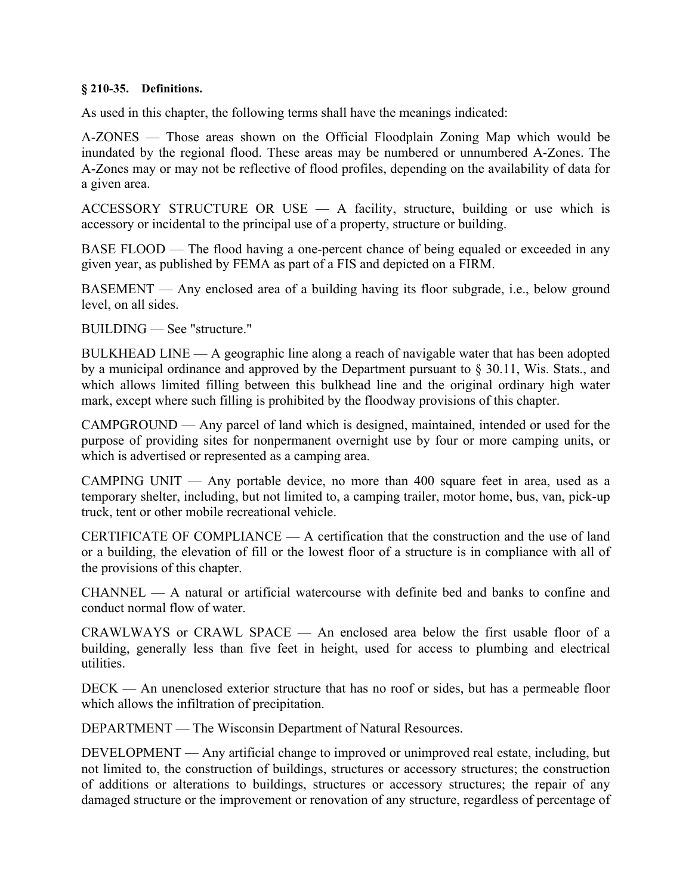### **§ 210-35. Definitions.**

As used in this chapter, the following terms shall have the meanings indicated:

A-ZONES — Those areas shown on the Official Floodplain Zoning Map which would be inundated by the regional flood. These areas may be numbered or unnumbered A-Zones. The A-Zones may or may not be reflective of flood profiles, depending on the availability of data for a given area.

ACCESSORY STRUCTURE OR USE — A facility, structure, building or use which is accessory or incidental to the principal use of a property, structure or building.

BASE FLOOD — The flood having a one-percent chance of being equaled or exceeded in any given year, as published by FEMA as part of a FIS and depicted on a FIRM.

BASEMENT — Any enclosed area of a building having its floor subgrade, i.e., below ground level, on all sides.

BUILDING — See "structure."

BULKHEAD LINE — A geographic line along a reach of navigable water that has been adopted by a municipal ordinance and approved by the Department pursuant to § 30.11, Wis. Stats., and which allows limited filling between this bulkhead line and the original ordinary high water mark, except where such filling is prohibited by the floodway provisions of this chapter.

CAMPGROUND — Any parcel of land which is designed, maintained, intended or used for the purpose of providing sites for nonpermanent overnight use by four or more camping units, or which is advertised or represented as a camping area.

CAMPING UNIT — Any portable device, no more than 400 square feet in area, used as a temporary shelter, including, but not limited to, a camping trailer, motor home, bus, van, pick-up truck, tent or other mobile recreational vehicle.

CERTIFICATE OF COMPLIANCE  $-$  A certification that the construction and the use of land or a building, the elevation of fill or the lowest floor of a structure is in compliance with all of the provisions of this chapter.

 $CHANNEL$   $- A$  natural or artificial watercourse with definite bed and banks to confine and conduct normal flow of water.

CRAWLWAYS or CRAWL SPACE — An enclosed area below the first usable floor of a building, generally less than five feet in height, used for access to plumbing and electrical utilities.

DECK — An unenclosed exterior structure that has no roof or sides, but has a permeable floor which allows the infiltration of precipitation.

DEPARTMENT — The Wisconsin Department of Natural Resources.

DEVELOPMENT — Any artificial change to improved or unimproved real estate, including, but not limited to, the construction of buildings, structures or accessory structures; the construction of additions or alterations to buildings, structures or accessory structures; the repair of any damaged structure or the improvement or renovation of any structure, regardless of percentage of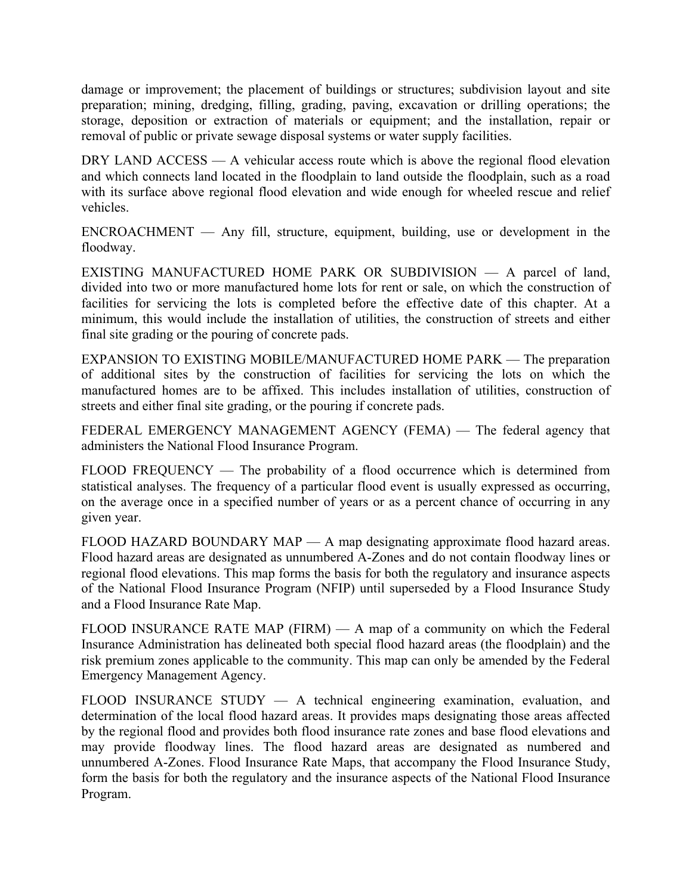damage or improvement; the placement of buildings or structures; subdivision layout and site preparation; mining, dredging, filling, grading, paving, excavation or drilling operations; the storage, deposition or extraction of materials or equipment; and the installation, repair or removal of public or private sewage disposal systems or water supply facilities.

DRY LAND ACCESS — A vehicular access route which is above the regional flood elevation and which connects land located in the floodplain to land outside the floodplain, such as a road with its surface above regional flood elevation and wide enough for wheeled rescue and relief vehicles.

ENCROACHMENT — Any fill, structure, equipment, building, use or development in the floodway.

EXISTING MANUFACTURED HOME PARK OR SUBDIVISION — A parcel of land, divided into two or more manufactured home lots for rent or sale, on which the construction of facilities for servicing the lots is completed before the effective date of this chapter. At a minimum, this would include the installation of utilities, the construction of streets and either final site grading or the pouring of concrete pads.

EXPANSION TO EXISTING MOBILE/MANUFACTURED HOME PARK — The preparation of additional sites by the construction of facilities for servicing the lots on which the manufactured homes are to be affixed. This includes installation of utilities, construction of streets and either final site grading, or the pouring if concrete pads.

FEDERAL EMERGENCY MANAGEMENT AGENCY (FEMA) — The federal agency that administers the National Flood Insurance Program.

FLOOD FREQUENCY — The probability of a flood occurrence which is determined from statistical analyses. The frequency of a particular flood event is usually expressed as occurring, on the average once in a specified number of years or as a percent chance of occurring in any given year.

FLOOD HAZARD BOUNDARY MAP — A map designating approximate flood hazard areas. Flood hazard areas are designated as unnumbered A-Zones and do not contain floodway lines or regional flood elevations. This map forms the basis for both the regulatory and insurance aspects of the National Flood Insurance Program (NFIP) until superseded by a Flood Insurance Study and a Flood Insurance Rate Map.

FLOOD INSURANCE RATE MAP (FIRM) — A map of a community on which the Federal Insurance Administration has delineated both special flood hazard areas (the floodplain) and the risk premium zones applicable to the community. This map can only be amended by the Federal Emergency Management Agency.

FLOOD INSURANCE STUDY — A technical engineering examination, evaluation, and determination of the local flood hazard areas. It provides maps designating those areas affected by the regional flood and provides both flood insurance rate zones and base flood elevations and may provide floodway lines. The flood hazard areas are designated as numbered and unnumbered A-Zones. Flood Insurance Rate Maps, that accompany the Flood Insurance Study, form the basis for both the regulatory and the insurance aspects of the National Flood Insurance Program.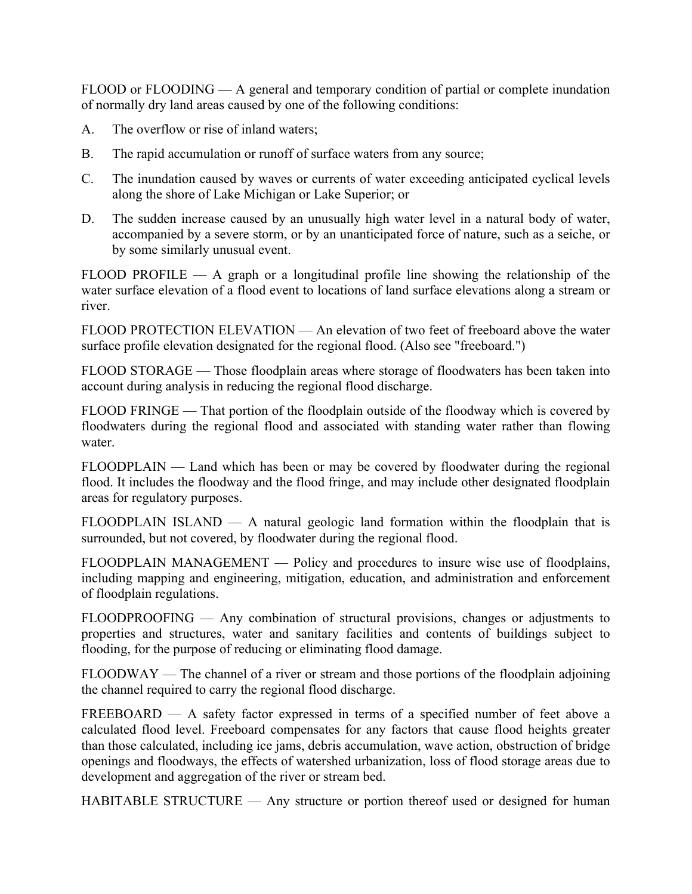FLOOD or FLOODING — A general and temporary condition of partial or complete inundation of normally dry land areas caused by one of the following conditions:

- A. The overflow or rise of inland waters;
- B. The rapid accumulation or runoff of surface waters from any source;
- C. The inundation caused by waves or currents of water exceeding anticipated cyclical levels along the shore of Lake Michigan or Lake Superior; or
- D. The sudden increase caused by an unusually high water level in a natural body of water, accompanied by a severe storm, or by an unanticipated force of nature, such as a seiche, or by some similarly unusual event.

 $FLOOD$  PROFILE — A graph or a longitudinal profile line showing the relationship of the water surface elevation of a flood event to locations of land surface elevations along a stream or river.

FLOOD PROTECTION ELEVATION — An elevation of two feet of freeboard above the water surface profile elevation designated for the regional flood. (Also see "freeboard.")

FLOOD STORAGE — Those floodplain areas where storage of floodwaters has been taken into account during analysis in reducing the regional flood discharge.

FLOOD FRINGE — That portion of the floodplain outside of the floodway which is covered by floodwaters during the regional flood and associated with standing water rather than flowing water.

FLOODPLAIN — Land which has been or may be covered by floodwater during the regional flood. It includes the floodway and the flood fringe, and may include other designated floodplain areas for regulatory purposes.

FLOODPLAIN ISLAND — A natural geologic land formation within the floodplain that is surrounded, but not covered, by floodwater during the regional flood.

FLOODPLAIN MANAGEMENT — Policy and procedures to insure wise use of floodplains, including mapping and engineering, mitigation, education, and administration and enforcement of floodplain regulations.

FLOODPROOFING — Any combination of structural provisions, changes or adjustments to properties and structures, water and sanitary facilities and contents of buildings subject to flooding, for the purpose of reducing or eliminating flood damage.

FLOODWAY — The channel of a river or stream and those portions of the floodplain adjoining the channel required to carry the regional flood discharge.

FREEBOARD — A safety factor expressed in terms of a specified number of feet above a calculated flood level. Freeboard compensates for any factors that cause flood heights greater than those calculated, including ice jams, debris accumulation, wave action, obstruction of bridge openings and floodways, the effects of watershed urbanization, loss of flood storage areas due to development and aggregation of the river or stream bed.

HABITABLE STRUCTURE — Any structure or portion thereof used or designed for human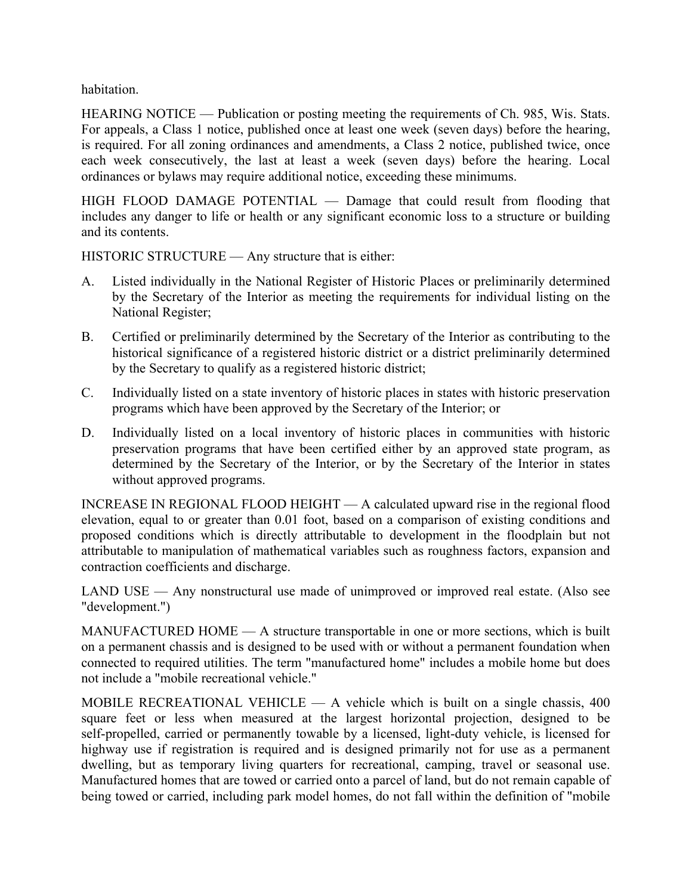habitation.

HEARING NOTICE — Publication or posting meeting the requirements of Ch. 985, Wis. Stats. For appeals, a Class 1 notice, published once at least one week (seven days) before the hearing, is required. For all zoning ordinances and amendments, a Class 2 notice, published twice, once each week consecutively, the last at least a week (seven days) before the hearing. Local ordinances or bylaws may require additional notice, exceeding these minimums.

HIGH FLOOD DAMAGE POTENTIAL — Damage that could result from flooding that includes any danger to life or health or any significant economic loss to a structure or building and its contents.

HISTORIC STRUCTURE — Any structure that is either:

- A. Listed individually in the National Register of Historic Places or preliminarily determined by the Secretary of the Interior as meeting the requirements for individual listing on the National Register;
- B. Certified or preliminarily determined by the Secretary of the Interior as contributing to the historical significance of a registered historic district or a district preliminarily determined by the Secretary to qualify as a registered historic district;
- C. Individually listed on a state inventory of historic places in states with historic preservation programs which have been approved by the Secretary of the Interior; or
- D. Individually listed on a local inventory of historic places in communities with historic preservation programs that have been certified either by an approved state program, as determined by the Secretary of the Interior, or by the Secretary of the Interior in states without approved programs.

INCREASE IN REGIONAL FLOOD HEIGHT — A calculated upward rise in the regional flood elevation, equal to or greater than 0.01 foot, based on a comparison of existing conditions and proposed conditions which is directly attributable to development in the floodplain but not attributable to manipulation of mathematical variables such as roughness factors, expansion and contraction coefficients and discharge.

LAND USE — Any nonstructural use made of unimproved or improved real estate. (Also see "development.")

MANUFACTURED HOME — A structure transportable in one or more sections, which is built on a permanent chassis and is designed to be used with or without a permanent foundation when connected to required utilities. The term "manufactured home" includes a mobile home but does not include a "mobile recreational vehicle."

MOBILE RECREATIONAL VEHICLE  $- A$  vehicle which is built on a single chassis, 400 square feet or less when measured at the largest horizontal projection, designed to be self-propelled, carried or permanently towable by a licensed, light-duty vehicle, is licensed for highway use if registration is required and is designed primarily not for use as a permanent dwelling, but as temporary living quarters for recreational, camping, travel or seasonal use. Manufactured homes that are towed or carried onto a parcel of land, but do not remain capable of being towed or carried, including park model homes, do not fall within the definition of "mobile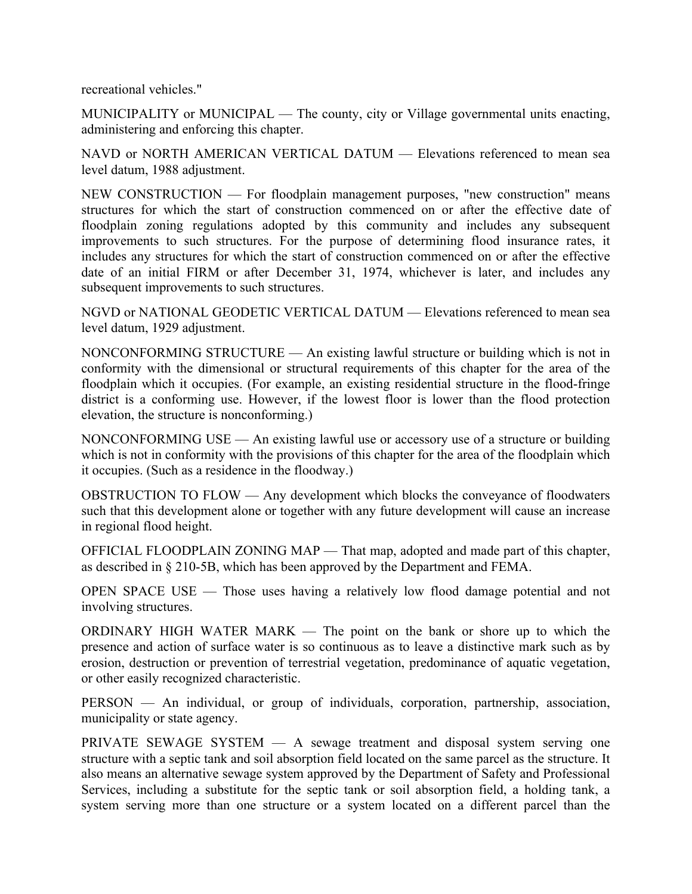recreational vehicles."

MUNICIPALITY or MUNICIPAL — The county, city or Village governmental units enacting, administering and enforcing this chapter.

NAVD or NORTH AMERICAN VERTICAL DATUM — Elevations referenced to mean sea level datum, 1988 adjustment.

NEW CONSTRUCTION — For floodplain management purposes, "new construction" means structures for which the start of construction commenced on or after the effective date of floodplain zoning regulations adopted by this community and includes any subsequent improvements to such structures. For the purpose of determining flood insurance rates, it includes any structures for which the start of construction commenced on or after the effective date of an initial FIRM or after December 31, 1974, whichever is later, and includes any subsequent improvements to such structures.

NGVD or NATIONAL GEODETIC VERTICAL DATUM — Elevations referenced to mean sea level datum, 1929 adjustment.

NONCONFORMING STRUCTURE — An existing lawful structure or building which is not in conformity with the dimensional or structural requirements of this chapter for the area of the floodplain which it occupies. (For example, an existing residential structure in the flood-fringe district is a conforming use. However, if the lowest floor is lower than the flood protection elevation, the structure is nonconforming.)

NONCONFORMING USE — An existing lawful use or accessory use of a structure or building which is not in conformity with the provisions of this chapter for the area of the floodplain which it occupies. (Such as a residence in the floodway.)

OBSTRUCTION TO FLOW — Any development which blocks the conveyance of floodwaters such that this development alone or together with any future development will cause an increase in regional flood height.

OFFICIAL FLOODPLAIN ZONING MAP — That map, adopted and made part of this chapter, as described in § 210-5B, which has been approved by the Department and FEMA.

OPEN SPACE USE — Those uses having a relatively low flood damage potential and not involving structures.

ORDINARY HIGH WATER MARK — The point on the bank or shore up to which the presence and action of surface water is so continuous as to leave a distinctive mark such as by erosion, destruction or prevention of terrestrial vegetation, predominance of aquatic vegetation, or other easily recognized characteristic.

PERSON — An individual, or group of individuals, corporation, partnership, association, municipality or state agency.

PRIVATE SEWAGE SYSTEM — A sewage treatment and disposal system serving one structure with a septic tank and soil absorption field located on the same parcel as the structure. It also means an alternative sewage system approved by the Department of Safety and Professional Services, including a substitute for the septic tank or soil absorption field, a holding tank, a system serving more than one structure or a system located on a different parcel than the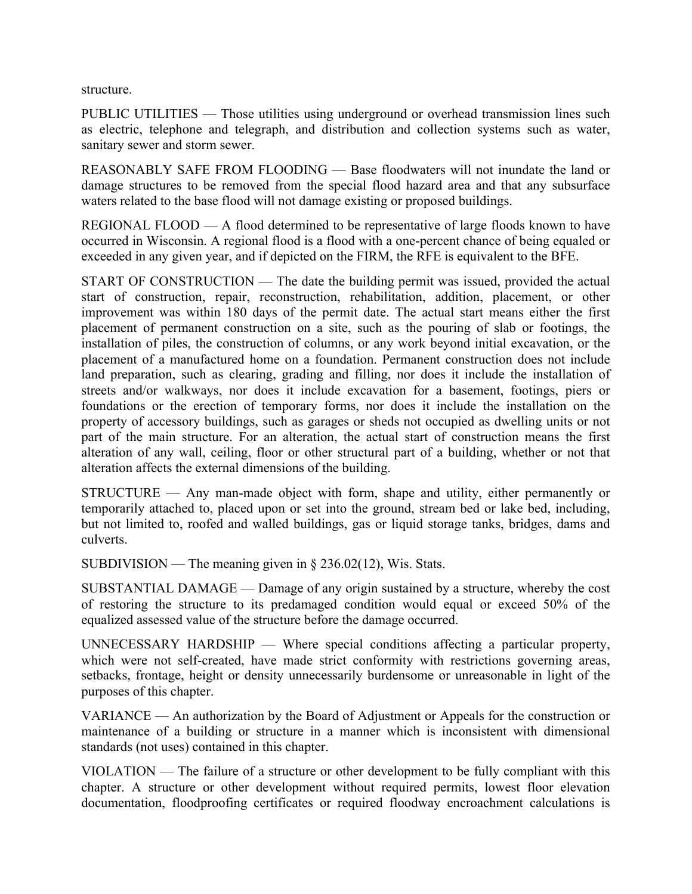structure.

PUBLIC UTILITIES — Those utilities using underground or overhead transmission lines such as electric, telephone and telegraph, and distribution and collection systems such as water, sanitary sewer and storm sewer.

REASONABLY SAFE FROM FLOODING — Base floodwaters will not inundate the land or damage structures to be removed from the special flood hazard area and that any subsurface waters related to the base flood will not damage existing or proposed buildings.

REGIONAL FLOOD — A flood determined to be representative of large floods known to have occurred in Wisconsin. A regional flood is a flood with a one-percent chance of being equaled or exceeded in any given year, and if depicted on the FIRM, the RFE is equivalent to the BFE.

START OF CONSTRUCTION — The date the building permit was issued, provided the actual start of construction, repair, reconstruction, rehabilitation, addition, placement, or other improvement was within 180 days of the permit date. The actual start means either the first placement of permanent construction on a site, such as the pouring of slab or footings, the installation of piles, the construction of columns, or any work beyond initial excavation, or the placement of a manufactured home on a foundation. Permanent construction does not include land preparation, such as clearing, grading and filling, nor does it include the installation of streets and/or walkways, nor does it include excavation for a basement, footings, piers or foundations or the erection of temporary forms, nor does it include the installation on the property of accessory buildings, such as garages or sheds not occupied as dwelling units or not part of the main structure. For an alteration, the actual start of construction means the first alteration of any wall, ceiling, floor or other structural part of a building, whether or not that alteration affects the external dimensions of the building.

STRUCTURE — Any man-made object with form, shape and utility, either permanently or temporarily attached to, placed upon or set into the ground, stream bed or lake bed, including, but not limited to, roofed and walled buildings, gas or liquid storage tanks, bridges, dams and culverts.

SUBDIVISION — The meaning given in  $\S 236.02(12)$ , Wis. Stats.

SUBSTANTIAL DAMAGE — Damage of any origin sustained by a structure, whereby the cost of restoring the structure to its predamaged condition would equal or exceed 50% of the equalized assessed value of the structure before the damage occurred.

UNNECESSARY HARDSHIP — Where special conditions affecting a particular property, which were not self-created, have made strict conformity with restrictions governing areas, setbacks, frontage, height or density unnecessarily burdensome or unreasonable in light of the purposes of this chapter.

VARIANCE — An authorization by the Board of Adjustment or Appeals for the construction or maintenance of a building or structure in a manner which is inconsistent with dimensional standards (not uses) contained in this chapter.

VIOLATION — The failure of a structure or other development to be fully compliant with this chapter. A structure or other development without required permits, lowest floor elevation documentation, floodproofing certificates or required floodway encroachment calculations is